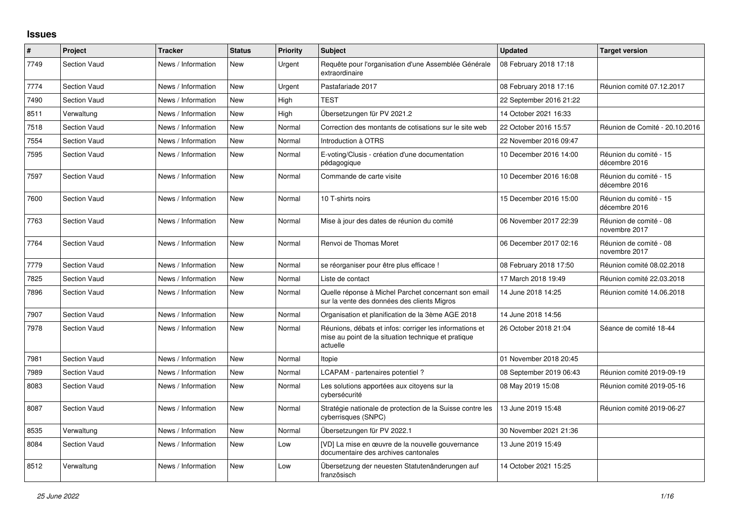## **Issues**

| $\vert$ # | Project             | <b>Tracker</b>     | <b>Status</b> | <b>Priority</b> | <b>Subject</b>                                                                                                             | <b>Updated</b>          | <b>Target version</b>                   |
|-----------|---------------------|--------------------|---------------|-----------------|----------------------------------------------------------------------------------------------------------------------------|-------------------------|-----------------------------------------|
| 7749      | Section Vaud        | News / Information | <b>New</b>    | Urgent          | Requête pour l'organisation d'une Assemblée Générale<br>extraordinaire                                                     | 08 February 2018 17:18  |                                         |
| 7774      | <b>Section Vaud</b> | News / Information | <b>New</b>    | Urgent          | Pastafariade 2017                                                                                                          | 08 February 2018 17:16  | Réunion comité 07.12.2017               |
| 7490      | <b>Section Vaud</b> | News / Information | <b>New</b>    | High            | <b>TEST</b>                                                                                                                | 22 September 2016 21:22 |                                         |
| 8511      | Verwaltung          | News / Information | <b>New</b>    | High            | Übersetzungen für PV 2021.2                                                                                                | 14 October 2021 16:33   |                                         |
| 7518      | Section Vaud        | News / Information | <b>New</b>    | Normal          | Correction des montants de cotisations sur le site web                                                                     | 22 October 2016 15:57   | Réunion de Comité - 20.10.2016          |
| 7554      | <b>Section Vaud</b> | News / Information | <b>New</b>    | Normal          | Introduction à OTRS                                                                                                        | 22 November 2016 09:47  |                                         |
| 7595      | <b>Section Vaud</b> | News / Information | <b>New</b>    | Normal          | E-voting/Clusis - création d'une documentation<br>pédagogique                                                              | 10 December 2016 14:00  | Réunion du comité - 15<br>décembre 2016 |
| 7597      | Section Vaud        | News / Information | <b>New</b>    | Normal          | Commande de carte visite                                                                                                   | 10 December 2016 16:08  | Réunion du comité - 15<br>décembre 2016 |
| 7600      | Section Vaud        | News / Information | New           | Normal          | 10 T-shirts noirs                                                                                                          | 15 December 2016 15:00  | Réunion du comité - 15<br>décembre 2016 |
| 7763      | <b>Section Vaud</b> | News / Information | New           | Normal          | Mise à jour des dates de réunion du comité                                                                                 | 06 November 2017 22:39  | Réunion de comité - 08<br>novembre 2017 |
| 7764      | Section Vaud        | News / Information | <b>New</b>    | Normal          | Renvoi de Thomas Moret                                                                                                     | 06 December 2017 02:16  | Réunion de comité - 08<br>novembre 2017 |
| 7779      | <b>Section Vaud</b> | News / Information | <b>New</b>    | Normal          | se réorganiser pour être plus efficace !                                                                                   | 08 February 2018 17:50  | Réunion comité 08.02.2018               |
| 7825      | Section Vaud        | News / Information | <b>New</b>    | Normal          | Liste de contact                                                                                                           | 17 March 2018 19:49     | Réunion comité 22.03.2018               |
| 7896      | Section Vaud        | News / Information | <b>New</b>    | Normal          | Quelle réponse à Michel Parchet concernant son email<br>sur la vente des données des clients Migros                        | 14 June 2018 14:25      | Réunion comité 14.06.2018               |
| 7907      | <b>Section Vaud</b> | News / Information | <b>New</b>    | Normal          | Organisation et planification de la 3ème AGE 2018                                                                          | 14 June 2018 14:56      |                                         |
| 7978      | Section Vaud        | News / Information | <b>New</b>    | Normal          | Réunions, débats et infos: corriger les informations et<br>mise au point de la situation technique et pratique<br>actuelle | 26 October 2018 21:04   | Séance de comité 18-44                  |
| 7981      | Section Vaud        | News / Information | <b>New</b>    | Normal          | Itopie                                                                                                                     | 01 November 2018 20:45  |                                         |
| 7989      | Section Vaud        | News / Information | <b>New</b>    | Normal          | LCAPAM - partenaires potentiel?                                                                                            | 08 September 2019 06:43 | Réunion comité 2019-09-19               |
| 8083      | <b>Section Vaud</b> | News / Information | <b>New</b>    | Normal          | Les solutions apportées aux citoyens sur la<br>cybersécurité                                                               | 08 May 2019 15:08       | Réunion comité 2019-05-16               |
| 8087      | <b>Section Vaud</b> | News / Information | <b>New</b>    | Normal          | Stratégie nationale de protection de la Suisse contre les<br>cyberrisques (SNPC)                                           | 13 June 2019 15:48      | Réunion comité 2019-06-27               |
| 8535      | Verwaltung          | News / Information | New           | Normal          | Übersetzungen für PV 2022.1                                                                                                | 30 November 2021 21:36  |                                         |
| 8084      | Section Vaud        | News / Information | <b>New</b>    | Low             | [VD] La mise en œuvre de la nouvelle gouvernance<br>documentaire des archives cantonales                                   | 13 June 2019 15:49      |                                         |
| 8512      | Verwaltung          | News / Information | <b>New</b>    | Low             | Übersetzung der neuesten Statutenänderungen auf<br>französisch                                                             | 14 October 2021 15:25   |                                         |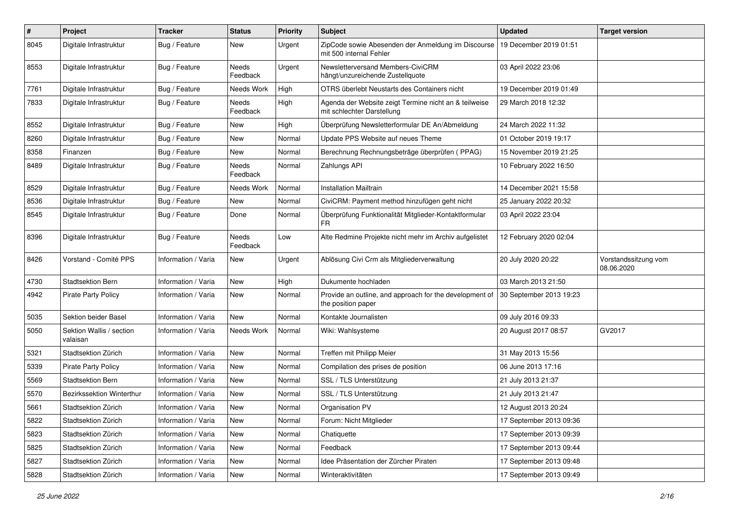| $\#$ | Project                              | <b>Tracker</b>      | <b>Status</b>     | <b>Priority</b> | Subject                                                                             | <b>Updated</b>          | <b>Target version</b>              |
|------|--------------------------------------|---------------------|-------------------|-----------------|-------------------------------------------------------------------------------------|-------------------------|------------------------------------|
| 8045 | Digitale Infrastruktur               | Bug / Feature       | New               | Urgent          | ZipCode sowie Abesenden der Anmeldung im Discourse<br>mit 500 internal Fehler       | 19 December 2019 01:51  |                                    |
| 8553 | Digitale Infrastruktur               | Bug / Feature       | Needs<br>Feedback | Urgent          | Newsletterversand Members-CiviCRM<br>hängt/unzureichende Zustellquote               | 03 April 2022 23:06     |                                    |
| 7761 | Digitale Infrastruktur               | Bug / Feature       | Needs Work        | High            | OTRS überlebt Neustarts des Containers nicht                                        | 19 December 2019 01:49  |                                    |
| 7833 | Digitale Infrastruktur               | Bug / Feature       | Needs<br>Feedback | High            | Agenda der Website zeigt Termine nicht an & teilweise<br>mit schlechter Darstellung | 29 March 2018 12:32     |                                    |
| 8552 | Digitale Infrastruktur               | Bug / Feature       | New               | High            | Überprüfung Newsletterformular DE An/Abmeldung                                      | 24 March 2022 11:32     |                                    |
| 8260 | Digitale Infrastruktur               | Bug / Feature       | <b>New</b>        | Normal          | Update PPS Website auf neues Theme                                                  | 01 October 2019 19:17   |                                    |
| 8358 | Finanzen                             | Bug / Feature       | <b>New</b>        | Normal          | Berechnung Rechnungsbeträge überprüfen (PPAG)                                       | 15 November 2019 21:25  |                                    |
| 8489 | Digitale Infrastruktur               | Bug / Feature       | Needs<br>Feedback | Normal          | Zahlungs API                                                                        | 10 February 2022 16:50  |                                    |
| 8529 | Digitale Infrastruktur               | Bug / Feature       | Needs Work        | Normal          | <b>Installation Mailtrain</b>                                                       | 14 December 2021 15:58  |                                    |
| 8536 | Digitale Infrastruktur               | Bug / Feature       | New               | Normal          | CiviCRM: Payment method hinzufügen geht nicht                                       | 25 January 2022 20:32   |                                    |
| 8545 | Digitale Infrastruktur               | Bug / Feature       | Done              | Normal          | Überprüfung Funktionalität Mitglieder-Kontaktformular<br>FR.                        | 03 April 2022 23:04     |                                    |
| 8396 | Digitale Infrastruktur               | Bug / Feature       | Needs<br>Feedback | Low             | Alte Redmine Projekte nicht mehr im Archiv aufgelistet                              | 12 February 2020 02:04  |                                    |
| 8426 | Vorstand - Comité PPS                | Information / Varia | New               | Urgent          | Ablösung Civi Crm als Mitgliederverwaltung                                          | 20 July 2020 20:22      | Vorstandssitzung vom<br>08.06.2020 |
| 4730 | Stadtsektion Bern                    | Information / Varia | <b>New</b>        | High            | Dukumente hochladen                                                                 | 03 March 2013 21:50     |                                    |
| 4942 | <b>Pirate Party Policy</b>           | Information / Varia | New               | Normal          | Provide an outline, and approach for the development of<br>the position paper       | 30 September 2013 19:23 |                                    |
| 5035 | Sektion beider Basel                 | Information / Varia | <b>New</b>        | Normal          | Kontakte Journalisten                                                               | 09 July 2016 09:33      |                                    |
| 5050 | Sektion Wallis / section<br>valaisan | Information / Varia | Needs Work        | Normal          | Wiki: Wahlsysteme                                                                   | 20 August 2017 08:57    | GV2017                             |
| 5321 | Stadtsektion Zürich                  | Information / Varia | <b>New</b>        | Normal          | Treffen mit Philipp Meier                                                           | 31 May 2013 15:56       |                                    |
| 5339 | <b>Pirate Party Policy</b>           | Information / Varia | <b>New</b>        | Normal          | Compilation des prises de position                                                  | 06 June 2013 17:16      |                                    |
| 5569 | Stadtsektion Bern                    | Information / Varia | <b>New</b>        | Normal          | SSL / TLS Unterstützung                                                             | 21 July 2013 21:37      |                                    |
| 5570 | Bezirkssektion Winterthur            | Information / Varia | New               | Normal          | SSL / TLS Unterstützung                                                             | 21 July 2013 21:47      |                                    |
| 5661 | Stadtsektion Zürich                  | Information / Varia | New               | Normal          | Organisation PV                                                                     | 12 August 2013 20:24    |                                    |
| 5822 | Stadtsektion Zürich                  | Information / Varia | New               | Normal          | Forum: Nicht Mitglieder                                                             | 17 September 2013 09:36 |                                    |
| 5823 | Stadtsektion Zürich                  | Information / Varia | New               | Normal          | Chatiquette                                                                         | 17 September 2013 09:39 |                                    |
| 5825 | Stadtsektion Zürich                  | Information / Varia | New               | Normal          | Feedback                                                                            | 17 September 2013 09:44 |                                    |
| 5827 | Stadtsektion Zürich                  | Information / Varia | New               | Normal          | Idee Präsentation der Zürcher Piraten                                               | 17 September 2013 09:48 |                                    |
| 5828 | Stadtsektion Zürich                  | Information / Varia | New               | Normal          | Winteraktivitäten                                                                   | 17 September 2013 09:49 |                                    |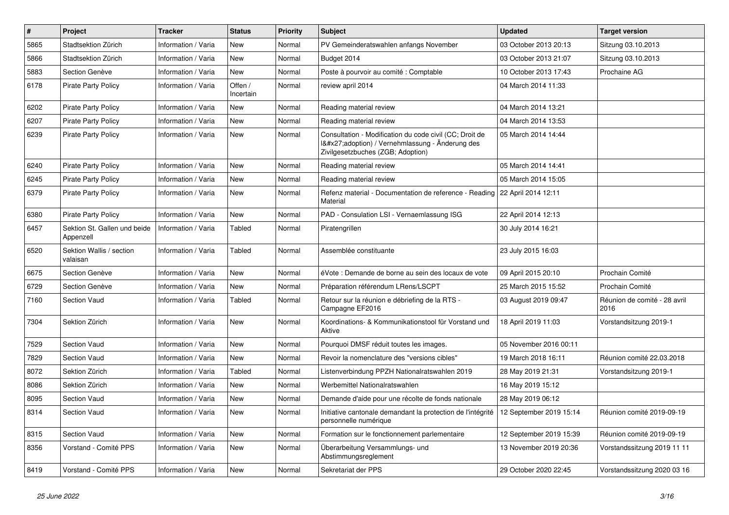| $\vert$ # | Project                                   | <b>Tracker</b>      | <b>Status</b>        | <b>Priority</b> | <b>Subject</b>                                                                                                                              | <b>Updated</b>          | <b>Target version</b>                |
|-----------|-------------------------------------------|---------------------|----------------------|-----------------|---------------------------------------------------------------------------------------------------------------------------------------------|-------------------------|--------------------------------------|
| 5865      | Stadtsektion Zürich                       | Information / Varia | New                  | Normal          | PV Gemeinderatswahlen anfangs November                                                                                                      | 03 October 2013 20:13   | Sitzung 03.10.2013                   |
| 5866      | Stadtsektion Zürich                       | Information / Varia | New                  | Normal          | Budget 2014                                                                                                                                 | 03 October 2013 21:07   | Sitzung 03.10.2013                   |
| 5883      | Section Genève                            | Information / Varia | New                  | Normal          | Poste à pourvoir au comité : Comptable                                                                                                      | 10 October 2013 17:43   | Prochaine AG                         |
| 6178      | <b>Pirate Party Policy</b>                | Information / Varia | Offen /<br>Incertain | Normal          | review april 2014                                                                                                                           | 04 March 2014 11:33     |                                      |
| 6202      | <b>Pirate Party Policy</b>                | Information / Varia | New                  | Normal          | Reading material review                                                                                                                     | 04 March 2014 13:21     |                                      |
| 6207      | <b>Pirate Party Policy</b>                | Information / Varia | New                  | Normal          | Reading material review                                                                                                                     | 04 March 2014 13:53     |                                      |
| 6239      | <b>Pirate Party Policy</b>                | Information / Varia | New                  | Normal          | Consultation - Modification du code civil (CC; Droit de<br>I'adoption) / Vernehmlassung - Änderung des<br>Zivilgesetzbuches (ZGB; Adoption) | 05 March 2014 14:44     |                                      |
| 6240      | <b>Pirate Party Policy</b>                | Information / Varia | New                  | Normal          | Reading material review                                                                                                                     | 05 March 2014 14:41     |                                      |
| 6245      | <b>Pirate Party Policy</b>                | Information / Varia | New                  | Normal          | Reading material review                                                                                                                     | 05 March 2014 15:05     |                                      |
| 6379      | <b>Pirate Party Policy</b>                | Information / Varia | New                  | Normal          | Refenz material - Documentation de reference - Reading<br>Material                                                                          | 22 April 2014 12:11     |                                      |
| 6380      | <b>Pirate Party Policy</b>                | Information / Varia | New                  | Normal          | PAD - Consulation LSI - Vernaemlassung ISG                                                                                                  | 22 April 2014 12:13     |                                      |
| 6457      | Sektion St. Gallen und beide<br>Appenzell | Information / Varia | Tabled               | Normal          | Piratengrillen                                                                                                                              | 30 July 2014 16:21      |                                      |
| 6520      | Sektion Wallis / section<br>valaisan      | Information / Varia | Tabled               | Normal          | Assemblée constituante                                                                                                                      | 23 July 2015 16:03      |                                      |
| 6675      | Section Genève                            | Information / Varia | New                  | Normal          | éVote : Demande de borne au sein des locaux de vote                                                                                         | 09 April 2015 20:10     | Prochain Comité                      |
| 6729      | Section Genève                            | Information / Varia | New                  | Normal          | Préparation référendum LRens/LSCPT                                                                                                          | 25 March 2015 15:52     | Prochain Comité                      |
| 7160      | <b>Section Vaud</b>                       | Information / Varia | Tabled               | Normal          | Retour sur la réunion e débriefing de la RTS -<br>Campagne EF2016                                                                           | 03 August 2019 09:47    | Réunion de comité - 28 avril<br>2016 |
| 7304      | Sektion Zürich                            | Information / Varia | New                  | Normal          | Koordinations- & Kommunikationstool für Vorstand und<br>Aktive                                                                              | 18 April 2019 11:03     | Vorstandsitzung 2019-1               |
| 7529      | Section Vaud                              | Information / Varia | New                  | Normal          | Pourquoi DMSF réduit toutes les images.                                                                                                     | 05 November 2016 00:11  |                                      |
| 7829      | Section Vaud                              | Information / Varia | New                  | Normal          | Revoir la nomenclature des "versions cibles"                                                                                                | 19 March 2018 16:11     | Réunion comité 22.03.2018            |
| 8072      | Sektion Zürich                            | Information / Varia | Tabled               | Normal          | Listenverbindung PPZH Nationalratswahlen 2019                                                                                               | 28 May 2019 21:31       | Vorstandsitzung 2019-1               |
| 8086      | Sektion Zürich                            | Information / Varia | New                  | Normal          | Werbemittel Nationalratswahlen                                                                                                              | 16 May 2019 15:12       |                                      |
| 8095      | Section Vaud                              | Information / Varia | New                  | Normal          | Demande d'aide pour une récolte de fonds nationale                                                                                          | 28 May 2019 06:12       |                                      |
| 8314      | Section Vaud                              | Information / Varia | New                  | Normal          | Initiative cantonale demandant la protection de l'intégrité<br>personnelle numérique                                                        | 12 September 2019 15:14 | Réunion comité 2019-09-19            |
| 8315      | Section Vaud                              | Information / Varia | <b>New</b>           | Normal          | Formation sur le fonctionnement parlementaire                                                                                               | 12 September 2019 15:39 | Réunion comité 2019-09-19            |
| 8356      | Vorstand - Comité PPS                     | Information / Varia | New                  | Normal          | Überarbeitung Versammlungs- und<br>Abstimmungsreglement                                                                                     | 13 November 2019 20:36  | Vorstandssitzung 2019 11 11          |
| 8419      | Vorstand - Comité PPS                     | Information / Varia | <b>New</b>           | Normal          | Sekretariat der PPS                                                                                                                         | 29 October 2020 22:45   | Vorstandssitzung 2020 03 16          |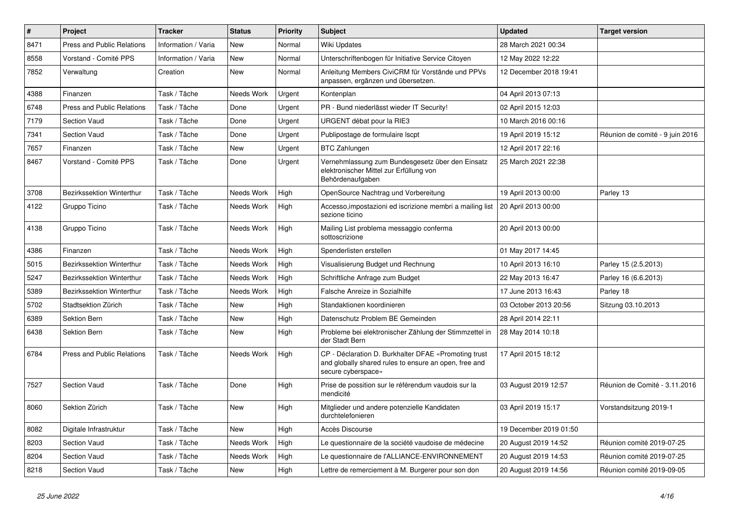| $\sharp$ | Project                           | <b>Tracker</b>      | <b>Status</b> | <b>Priority</b> | <b>Subject</b>                                                                                                                      | <b>Updated</b>         | <b>Target version</b>           |
|----------|-----------------------------------|---------------------|---------------|-----------------|-------------------------------------------------------------------------------------------------------------------------------------|------------------------|---------------------------------|
| 8471     | Press and Public Relations        | Information / Varia | New           | Normal          | Wiki Updates                                                                                                                        | 28 March 2021 00:34    |                                 |
| 8558     | Vorstand - Comité PPS             | Information / Varia | <b>New</b>    | Normal          | Unterschriftenbogen für Initiative Service Citoyen                                                                                  | 12 May 2022 12:22      |                                 |
| 7852     | Verwaltung                        | Creation            | <b>New</b>    | Normal          | Anleitung Members CiviCRM für Vorstände und PPVs<br>anpassen, ergänzen und übersetzen.                                              | 12 December 2018 19:41 |                                 |
| 4388     | Finanzen                          | Task / Tâche        | Needs Work    | Urgent          | Kontenplan                                                                                                                          | 04 April 2013 07:13    |                                 |
| 6748     | <b>Press and Public Relations</b> | Task / Tâche        | Done          | Urgent          | PR - Bund niederlässt wieder IT Security!                                                                                           | 02 April 2015 12:03    |                                 |
| 7179     | Section Vaud                      | Task / Tâche        | Done          | Urgent          | URGENT débat pour la RIE3                                                                                                           | 10 March 2016 00:16    |                                 |
| 7341     | Section Vaud                      | Task / Tâche        | Done          | Urgent          | Publipostage de formulaire Iscpt                                                                                                    | 19 April 2019 15:12    | Réunion de comité - 9 juin 2016 |
| 7657     | Finanzen                          | Task / Tâche        | New           | Urgent          | <b>BTC Zahlungen</b>                                                                                                                | 12 April 2017 22:16    |                                 |
| 8467     | Vorstand - Comité PPS             | Task / Tâche        | Done          | Urgent          | Vernehmlassung zum Bundesgesetz über den Einsatz<br>elektronischer Mittel zur Erfüllung von<br>Behördenaufgaben                     | 25 March 2021 22:38    |                                 |
| 3708     | <b>Bezirkssektion Winterthur</b>  | Task / Tâche        | Needs Work    | High            | OpenSource Nachtrag und Vorbereitung                                                                                                | 19 April 2013 00:00    | Parley 13                       |
| 4122     | Gruppo Ticino                     | Task / Tâche        | Needs Work    | High            | Accesso, impostazioni ed iscrizione membri a mailing list<br>sezione ticino                                                         | 20 April 2013 00:00    |                                 |
| 4138     | Gruppo Ticino                     | Task / Tâche        | Needs Work    | High            | Mailing List problema messaggio conferma<br>sottoscrizione                                                                          | 20 April 2013 00:00    |                                 |
| 4386     | Finanzen                          | Task / Tâche        | Needs Work    | High            | Spenderlisten erstellen                                                                                                             | 01 May 2017 14:45      |                                 |
| 5015     | Bezirkssektion Winterthur         | Task / Tâche        | Needs Work    | High            | Visualisierung Budget und Rechnung                                                                                                  | 10 April 2013 16:10    | Parley 15 (2.5.2013)            |
| 5247     | Bezirkssektion Winterthur         | Task / Tâche        | Needs Work    | High            | Schriftliche Anfrage zum Budget                                                                                                     | 22 May 2013 16:47      | Parley 16 (6.6.2013)            |
| 5389     | Bezirkssektion Winterthur         | Task / Tâche        | Needs Work    | High            | Falsche Anreize in Sozialhilfe                                                                                                      | 17 June 2013 16:43     | Parley 18                       |
| 5702     | Stadtsektion Zürich               | Task / Tâche        | New           | High            | Standaktionen koordinieren                                                                                                          | 03 October 2013 20:56  | Sitzung 03.10.2013              |
| 6389     | Sektion Bern                      | Task / Tâche        | <b>New</b>    | High            | Datenschutz Problem BE Gemeinden                                                                                                    | 28 April 2014 22:11    |                                 |
| 6438     | <b>Sektion Bern</b>               | Task / Tâche        | <b>New</b>    | High            | Probleme bei elektronischer Zählung der Stimmzettel in<br>der Stadt Bern                                                            | 28 May 2014 10:18      |                                 |
| 6784     | <b>Press and Public Relations</b> | Task / Tâche        | Needs Work    | High            | CP - Déclaration D. Burkhalter DFAE «Promoting trust<br>and globally shared rules to ensure an open, free and<br>secure cyberspace» | 17 April 2015 18:12    |                                 |
| 7527     | <b>Section Vaud</b>               | Task / Tâche        | Done          | High            | Prise de possition sur le référendum vaudois sur la<br>mendicité                                                                    | 03 August 2019 12:57   | Réunion de Comité - 3.11.2016   |
| 8060     | Sektion Zürich                    | Task / Tâche        | New           | High            | Mitglieder und andere potenzielle Kandidaten<br>durchtelefonieren                                                                   | 03 April 2019 15:17    | Vorstandsitzung 2019-1          |
| 8082     | Digitale Infrastruktur            | Task / Tâche        | New           | High            | Accès Discourse                                                                                                                     | 19 December 2019 01:50 |                                 |
| 8203     | Section Vaud                      | Task / Tâche        | Needs Work    | High            | Le questionnaire de la société vaudoise de médecine                                                                                 | 20 August 2019 14:52   | Réunion comité 2019-07-25       |
| 8204     | Section Vaud                      | Task / Tâche        | Needs Work    | High            | Le questionnaire de l'ALLIANCE-ENVIRONNEMENT                                                                                        | 20 August 2019 14:53   | Réunion comité 2019-07-25       |
| 8218     | Section Vaud                      | Task / Tâche        | New           | High            | Lettre de remerciement à M. Burgerer pour son don                                                                                   | 20 August 2019 14:56   | Réunion comité 2019-09-05       |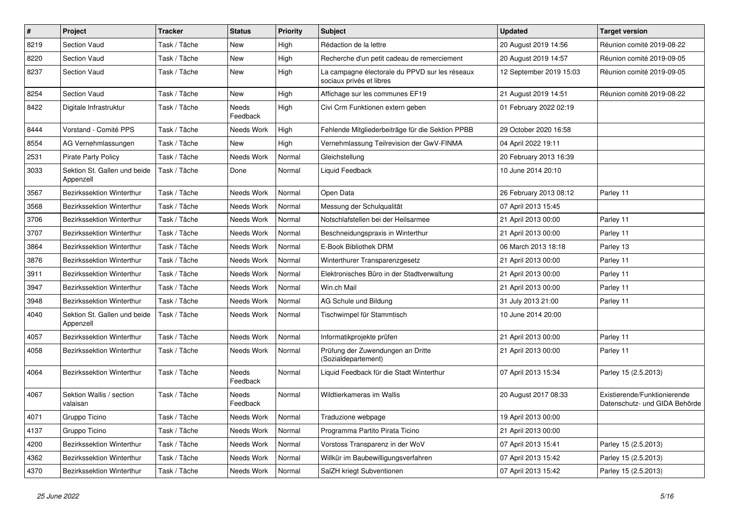| $\sharp$ | Project                                   | <b>Tracker</b> | <b>Status</b>     | <b>Priority</b> | <b>Subject</b>                                                             | <b>Updated</b>          | <b>Target version</b>                                         |
|----------|-------------------------------------------|----------------|-------------------|-----------------|----------------------------------------------------------------------------|-------------------------|---------------------------------------------------------------|
| 8219     | <b>Section Vaud</b>                       | Task / Tâche   | New               | High            | Rédaction de la lettre                                                     | 20 August 2019 14:56    | Réunion comité 2019-08-22                                     |
| 8220     | <b>Section Vaud</b>                       | Task / Tâche   | <b>New</b>        | High            | Recherche d'un petit cadeau de remerciement                                | 20 August 2019 14:57    | Réunion comité 2019-09-05                                     |
| 8237     | <b>Section Vaud</b>                       | Task / Tâche   | New               | High            | La campagne électorale du PPVD sur les réseaux<br>sociaux privés et libres | 12 September 2019 15:03 | Réunion comité 2019-09-05                                     |
| 8254     | <b>Section Vaud</b>                       | Task / Tâche   | New               | High            | Affichage sur les communes EF19                                            | 21 August 2019 14:51    | Réunion comité 2019-08-22                                     |
| 8422     | Digitale Infrastruktur                    | Task / Tâche   | Needs<br>Feedback | High            | Civi Crm Funktionen extern geben                                           | 01 February 2022 02:19  |                                                               |
| 8444     | Vorstand - Comité PPS                     | Task / Tâche   | Needs Work        | High            | Fehlende Mitgliederbeiträge für die Sektion PPBB                           | 29 October 2020 16:58   |                                                               |
| 8554     | AG Vernehmlassungen                       | Task / Tâche   | <b>New</b>        | High            | Vernehmlassung Teilrevision der GwV-FINMA                                  | 04 April 2022 19:11     |                                                               |
| 2531     | <b>Pirate Party Policy</b>                | Task / Tâche   | Needs Work        | Normal          | Gleichstellung                                                             | 20 February 2013 16:39  |                                                               |
| 3033     | Sektion St. Gallen und beide<br>Appenzell | Task / Tâche   | Done              | Normal          | Liquid Feedback                                                            | 10 June 2014 20:10      |                                                               |
| 3567     | <b>Bezirkssektion Winterthur</b>          | Task / Tâche   | Needs Work        | Normal          | Open Data                                                                  | 26 February 2013 08:12  | Parley 11                                                     |
| 3568     | Bezirkssektion Winterthur                 | Task / Tâche   | Needs Work        | Normal          | Messung der Schulqualität                                                  | 07 April 2013 15:45     |                                                               |
| 3706     | <b>Bezirkssektion Winterthur</b>          | Task / Tâche   | Needs Work        | Normal          | Notschlafstellen bei der Heilsarmee                                        | 21 April 2013 00:00     | Parley 11                                                     |
| 3707     | <b>Bezirkssektion Winterthur</b>          | Task / Tâche   | Needs Work        | Normal          | Beschneidungspraxis in Winterthur                                          | 21 April 2013 00:00     | Parley 11                                                     |
| 3864     | Bezirkssektion Winterthur                 | Task / Tâche   | Needs Work        | Normal          | E-Book Bibliothek DRM                                                      | 06 March 2013 18:18     | Parley 13                                                     |
| 3876     | <b>Bezirkssektion Winterthur</b>          | Task / Tâche   | Needs Work        | Normal          | Winterthurer Transparenzgesetz                                             | 21 April 2013 00:00     | Parley 11                                                     |
| 3911     | Bezirkssektion Winterthur                 | Task / Tâche   | Needs Work        | Normal          | Elektronisches Büro in der Stadtverwaltung                                 | 21 April 2013 00:00     | Parley 11                                                     |
| 3947     | Bezirkssektion Winterthur                 | Task / Tâche   | Needs Work        | Normal          | Win.ch Mail                                                                | 21 April 2013 00:00     | Parley 11                                                     |
| 3948     | <b>Bezirkssektion Winterthur</b>          | Task / Tâche   | Needs Work        | Normal          | AG Schule und Bildung                                                      | 31 July 2013 21:00      | Parley 11                                                     |
| 4040     | Sektion St. Gallen und beide<br>Appenzell | Task / Tâche   | Needs Work        | Normal          | Tischwimpel für Stammtisch                                                 | 10 June 2014 20:00      |                                                               |
| 4057     | <b>Bezirkssektion Winterthur</b>          | Task / Tâche   | Needs Work        | Normal          | Informatikprojekte prüfen                                                  | 21 April 2013 00:00     | Parley 11                                                     |
| 4058     | Bezirkssektion Winterthur                 | Task / Tâche   | Needs Work        | Normal          | Prüfung der Zuwendungen an Dritte<br>(Sozialdepartement)                   | 21 April 2013 00:00     | Parley 11                                                     |
| 4064     | Bezirkssektion Winterthur                 | Task / Tâche   | Needs<br>Feedback | Normal          | Liquid Feedback für die Stadt Winterthur                                   | 07 April 2013 15:34     | Parley 15 (2.5.2013)                                          |
| 4067     | Sektion Wallis / section<br>valaisan      | Task / Tâche   | Needs<br>Feedback | Normal          | Wildtierkameras im Wallis                                                  | 20 August 2017 08:33    | Existierende/Funktionierende<br>Datenschutz- und GIDA Behörde |
| 4071     | Gruppo Ticino                             | Task / Tâche   | Needs Work        | Normal          | Traduzione webpage                                                         | 19 April 2013 00:00     |                                                               |
| 4137     | Gruppo Ticino                             | Task / Tâche   | Needs Work        | Normal          | Programma Partito Pirata Ticino                                            | 21 April 2013 00:00     |                                                               |
| 4200     | Bezirkssektion Winterthur                 | Task / Tâche   | Needs Work        | Normal          | Vorstoss Transparenz in der WoV                                            | 07 April 2013 15:41     | Parley 15 (2.5.2013)                                          |
| 4362     | Bezirkssektion Winterthur                 | Task / Tâche   | Needs Work        | Normal          | Willkür im Baubewilligungsverfahren                                        | 07 April 2013 15:42     | Parley 15 (2.5.2013)                                          |
| 4370     | Bezirkssektion Winterthur                 | Task / Tâche   | Needs Work        | Normal          | SalZH kriegt Subventionen                                                  | 07 April 2013 15:42     | Parley 15 (2.5.2013)                                          |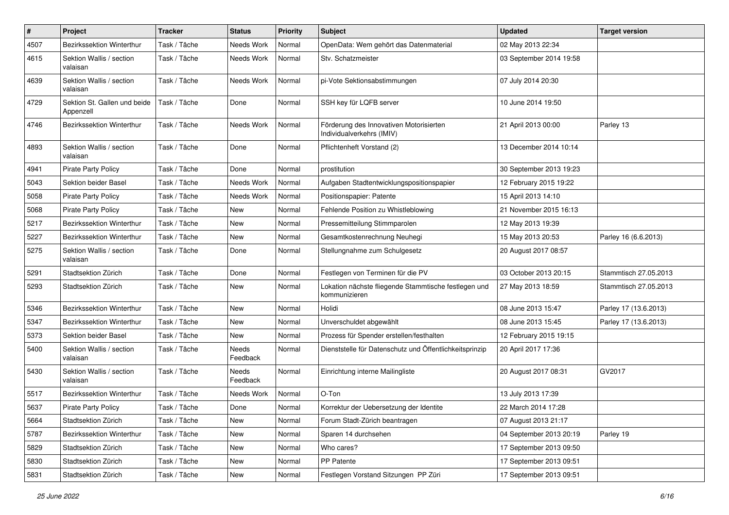| $\sharp$ | Project                                   | <b>Tracker</b> | <b>Status</b>            | <b>Priority</b> | Subject                                                               | <b>Updated</b>          | <b>Target version</b> |
|----------|-------------------------------------------|----------------|--------------------------|-----------------|-----------------------------------------------------------------------|-------------------------|-----------------------|
| 4507     | Bezirkssektion Winterthur                 | Task / Tâche   | Needs Work               | Normal          | OpenData: Wem gehört das Datenmaterial                                | 02 May 2013 22:34       |                       |
| 4615     | Sektion Wallis / section<br>valaisan      | Task / Tâche   | Needs Work               | Normal          | Stv. Schatzmeister                                                    | 03 September 2014 19:58 |                       |
| 4639     | Sektion Wallis / section<br>valaisan      | Task / Tâche   | Needs Work               | Normal          | pi-Vote Sektionsabstimmungen                                          | 07 July 2014 20:30      |                       |
| 4729     | Sektion St. Gallen und beide<br>Appenzell | Task / Tâche   | Done                     | Normal          | SSH key für LQFB server                                               | 10 June 2014 19:50      |                       |
| 4746     | Bezirkssektion Winterthur                 | Task / Tâche   | Needs Work               | Normal          | Förderung des Innovativen Motorisierten<br>Individualverkehrs (IMIV)  | 21 April 2013 00:00     | Parley 13             |
| 4893     | Sektion Wallis / section<br>valaisan      | Task / Tâche   | Done                     | Normal          | Pflichtenheft Vorstand (2)                                            | 13 December 2014 10:14  |                       |
| 4941     | Pirate Party Policy                       | Task / Tâche   | Done                     | Normal          | prostitution                                                          | 30 September 2013 19:23 |                       |
| 5043     | Sektion beider Basel                      | Task / Tâche   | Needs Work               | Normal          | Aufgaben Stadtentwicklungspositionspapier                             | 12 February 2015 19:22  |                       |
| 5058     | Pirate Party Policy                       | Task / Tâche   | Needs Work               | Normal          | Positionspapier: Patente                                              | 15 April 2013 14:10     |                       |
| 5068     | Pirate Party Policy                       | Task / Tâche   | New                      | Normal          | Fehlende Position zu Whistleblowing                                   | 21 November 2015 16:13  |                       |
| 5217     | Bezirkssektion Winterthur                 | Task / Tâche   | New                      | Normal          | Pressemitteilung Stimmparolen                                         | 12 May 2013 19:39       |                       |
| 5227     | Bezirkssektion Winterthur                 | Task / Tâche   | New                      | Normal          | Gesamtkostenrechnung Neuhegi                                          | 15 May 2013 20:53       | Parley 16 (6.6.2013)  |
| 5275     | Sektion Wallis / section<br>valaisan      | Task / Tâche   | Done                     | Normal          | Stellungnahme zum Schulgesetz                                         | 20 August 2017 08:57    |                       |
| 5291     | Stadtsektion Zürich                       | Task / Tâche   | Done                     | Normal          | Festlegen von Terminen für die PV                                     | 03 October 2013 20:15   | Stammtisch 27.05.2013 |
| 5293     | Stadtsektion Zürich                       | Task / Tâche   | <b>New</b>               | Normal          | Lokation nächste fliegende Stammtische festlegen und<br>kommunizieren | 27 May 2013 18:59       | Stammtisch 27.05.2013 |
| 5346     | Bezirkssektion Winterthur                 | Task / Tâche   | <b>New</b>               | Normal          | Holidi                                                                | 08 June 2013 15:47      | Parley 17 (13.6.2013) |
| 5347     | Bezirkssektion Winterthur                 | Task / Tâche   | <b>New</b>               | Normal          | Unverschuldet abgewählt                                               | 08 June 2013 15:45      | Parley 17 (13.6.2013) |
| 5373     | Sektion beider Basel                      | Task / Tâche   | New                      | Normal          | Prozess für Spender erstellen/festhalten                              | 12 February 2015 19:15  |                       |
| 5400     | Sektion Wallis / section<br>valaisan      | Task / Tâche   | <b>Needs</b><br>Feedback | Normal          | Dienststelle für Datenschutz und Öffentlichkeitsprinzip               | 20 April 2017 17:36     |                       |
| 5430     | Sektion Wallis / section<br>valaisan      | Task / Tâche   | Needs<br>Feedback        | Normal          | Einrichtung interne Mailingliste                                      | 20 August 2017 08:31    | GV2017                |
| 5517     | <b>Bezirkssektion Winterthur</b>          | Task / Tâche   | Needs Work               | Normal          | O-Ton                                                                 | 13 July 2013 17:39      |                       |
| 5637     | <b>Pirate Party Policy</b>                | Task / Tâche   | Done                     | Normal          | Korrektur der Uebersetzung der Identite                               | 22 March 2014 17:28     |                       |
| 5664     | Stadtsektion Zürich                       | Task / Tâche   | New                      | Normal          | Forum Stadt-Zürich beantragen                                         | 07 August 2013 21:17    |                       |
| 5787     | Bezirkssektion Winterthur                 | Task / Tâche   | New                      | Normal          | Sparen 14 durchsehen                                                  | 04 September 2013 20:19 | Parley 19             |
| 5829     | Stadtsektion Zürich                       | Task / Tâche   | New                      | Normal          | Who cares?                                                            | 17 September 2013 09:50 |                       |
| 5830     | Stadtsektion Zürich                       | Task / Tâche   | New                      | Normal          | PP Patente                                                            | 17 September 2013 09:51 |                       |
| 5831     | Stadtsektion Zürich                       | Task / Tâche   | New                      | Normal          | Festlegen Vorstand Sitzungen PP Züri                                  | 17 September 2013 09:51 |                       |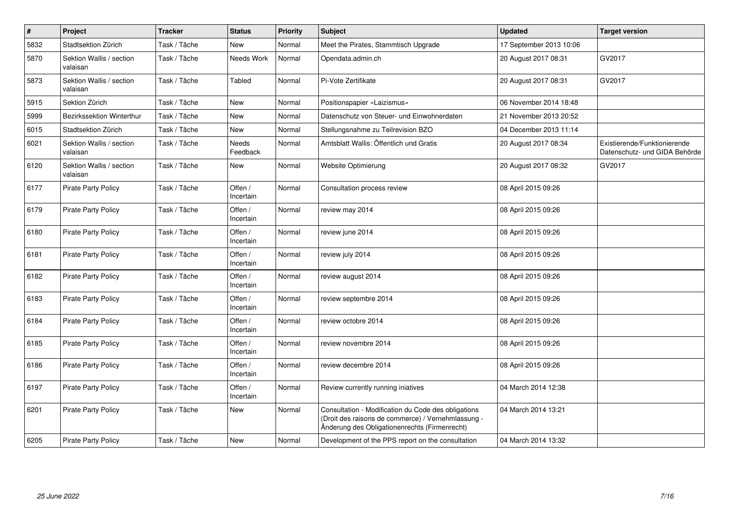| $\#$ | Project                              | <b>Tracker</b> | <b>Status</b>        | <b>Priority</b> | <b>Subject</b>                                                                                                                                             | <b>Updated</b>          | <b>Target version</b>                                         |
|------|--------------------------------------|----------------|----------------------|-----------------|------------------------------------------------------------------------------------------------------------------------------------------------------------|-------------------------|---------------------------------------------------------------|
| 5832 | Stadtsektion Zürich                  | Task / Tâche   | <b>New</b>           | Normal          | Meet the Pirates, Stammtisch Upgrade                                                                                                                       | 17 September 2013 10:06 |                                                               |
| 5870 | Sektion Wallis / section<br>valaisan | Task / Tâche   | Needs Work           | Normal          | Opendata.admin.ch                                                                                                                                          | 20 August 2017 08:31    | GV2017                                                        |
| 5873 | Sektion Wallis / section<br>valaisan | Task / Tâche   | Tabled               | Normal          | Pi-Vote Zertifikate                                                                                                                                        | 20 August 2017 08:31    | GV2017                                                        |
| 5915 | Sektion Zürich                       | Task / Tâche   | <b>New</b>           | Normal          | Positionspapier «Laizismus»                                                                                                                                | 06 November 2014 18:48  |                                                               |
| 5999 | <b>Bezirkssektion Winterthur</b>     | Task / Tâche   | <b>New</b>           | Normal          | Datenschutz von Steuer- und Einwohnerdaten                                                                                                                 | 21 November 2013 20:52  |                                                               |
| 6015 | Stadtsektion Zürich                  | Task / Tâche   | <b>New</b>           | Normal          | Stellungsnahme zu Teilrevision BZO                                                                                                                         | 04 December 2013 11:14  |                                                               |
| 6021 | Sektion Wallis / section<br>valaisan | Task / Tâche   | Needs<br>Feedback    | Normal          | Amtsblatt Wallis: Öffentlich und Gratis                                                                                                                    | 20 August 2017 08:34    | Existierende/Funktionierende<br>Datenschutz- und GIDA Behörde |
| 6120 | Sektion Wallis / section<br>valaisan | Task / Tâche   | <b>New</b>           | Normal          | Website Optimierung                                                                                                                                        | 20 August 2017 08:32    | GV2017                                                        |
| 6177 | <b>Pirate Party Policy</b>           | Task / Tâche   | Offen /<br>Incertain | Normal          | Consultation process review                                                                                                                                | 08 April 2015 09:26     |                                                               |
| 6179 | <b>Pirate Party Policy</b>           | Task / Tâche   | Offen /<br>Incertain | Normal          | review may 2014                                                                                                                                            | 08 April 2015 09:26     |                                                               |
| 6180 | <b>Pirate Party Policy</b>           | Task / Tâche   | Offen /<br>Incertain | Normal          | review june 2014                                                                                                                                           | 08 April 2015 09:26     |                                                               |
| 6181 | <b>Pirate Party Policy</b>           | Task / Tâche   | Offen /<br>Incertain | Normal          | review july 2014                                                                                                                                           | 08 April 2015 09:26     |                                                               |
| 6182 | <b>Pirate Party Policy</b>           | Task / Tâche   | Offen /<br>Incertain | Normal          | review august 2014                                                                                                                                         | 08 April 2015 09:26     |                                                               |
| 6183 | <b>Pirate Party Policy</b>           | Task / Tâche   | Offen /<br>Incertain | Normal          | review septembre 2014                                                                                                                                      | 08 April 2015 09:26     |                                                               |
| 6184 | <b>Pirate Party Policy</b>           | Task / Tâche   | Offen /<br>Incertain | Normal          | review octobre 2014                                                                                                                                        | 08 April 2015 09:26     |                                                               |
| 6185 | <b>Pirate Party Policy</b>           | Task / Tâche   | Offen /<br>Incertain | Normal          | review novembre 2014                                                                                                                                       | 08 April 2015 09:26     |                                                               |
| 6186 | <b>Pirate Party Policy</b>           | Task / Tâche   | Offen /<br>Incertain | Normal          | review decembre 2014                                                                                                                                       | 08 April 2015 09:26     |                                                               |
| 6197 | <b>Pirate Party Policy</b>           | Task / Tâche   | Offen /<br>Incertain | Normal          | Review currently running iniatives                                                                                                                         | 04 March 2014 12:38     |                                                               |
| 6201 | Pirate Party Policy                  | Task / Tâche   | New                  | Normal          | Consultation - Modification du Code des obligations<br>(Droit des raisons de commerce) / Vernehmlassung -<br>Änderung des Obligationenrechts (Firmenrecht) | 04 March 2014 13:21     |                                                               |
| 6205 | <b>Pirate Party Policy</b>           | Task / Tâche   | <b>New</b>           | Normal          | Development of the PPS report on the consultation                                                                                                          | 04 March 2014 13:32     |                                                               |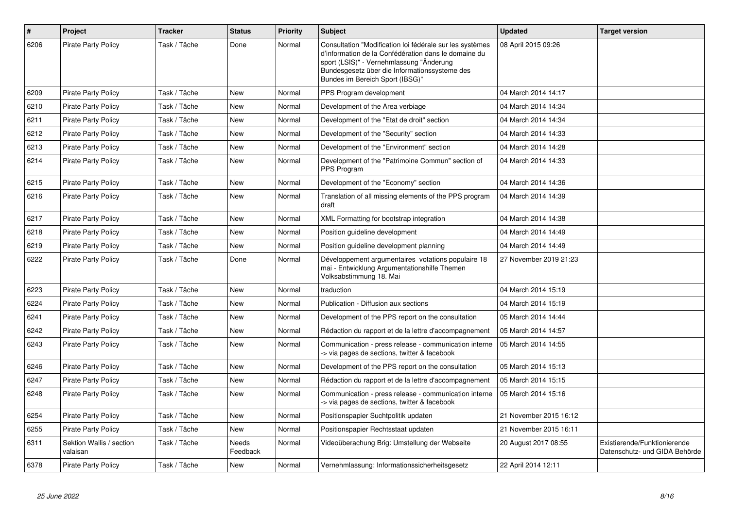| $\vert$ # | Project                              | <b>Tracker</b> | <b>Status</b>     | <b>Priority</b> | <b>Subject</b>                                                                                                                                                                                                                                   | <b>Updated</b>         | <b>Target version</b>                                         |
|-----------|--------------------------------------|----------------|-------------------|-----------------|--------------------------------------------------------------------------------------------------------------------------------------------------------------------------------------------------------------------------------------------------|------------------------|---------------------------------------------------------------|
| 6206      | <b>Pirate Party Policy</b>           | Task / Tâche   | Done              | Normal          | Consultation "Modification loi fédérale sur les systèmes<br>d'information de la Confédération dans le domaine du<br>sport (LSIS)" - Vernehmlassung "Änderung<br>Bundesgesetz über die Informationssysteme des<br>Bundes im Bereich Sport (IBSG)" | 08 April 2015 09:26    |                                                               |
| 6209      | <b>Pirate Party Policy</b>           | Task / Tâche   | New               | Normal          | PPS Program development                                                                                                                                                                                                                          | 04 March 2014 14:17    |                                                               |
| 6210      | <b>Pirate Party Policy</b>           | Task / Tâche   | <b>New</b>        | Normal          | Development of the Area verbiage                                                                                                                                                                                                                 | 04 March 2014 14:34    |                                                               |
| 6211      | <b>Pirate Party Policy</b>           | Task / Tâche   | <b>New</b>        | Normal          | Development of the "Etat de droit" section                                                                                                                                                                                                       | 04 March 2014 14:34    |                                                               |
| 6212      | <b>Pirate Party Policy</b>           | Task / Tâche   | <b>New</b>        | Normal          | Development of the "Security" section                                                                                                                                                                                                            | 04 March 2014 14:33    |                                                               |
| 6213      | Pirate Party Policy                  | Task / Tâche   | <b>New</b>        | Normal          | Development of the "Environment" section                                                                                                                                                                                                         | 04 March 2014 14:28    |                                                               |
| 6214      | <b>Pirate Party Policy</b>           | Task / Tâche   | <b>New</b>        | Normal          | Development of the "Patrimoine Commun" section of<br>PPS Program                                                                                                                                                                                 | 04 March 2014 14:33    |                                                               |
| 6215      | <b>Pirate Party Policy</b>           | Task / Tâche   | <b>New</b>        | Normal          | Development of the "Economy" section                                                                                                                                                                                                             | 04 March 2014 14:36    |                                                               |
| 6216      | <b>Pirate Party Policy</b>           | Task / Tâche   | <b>New</b>        | Normal          | Translation of all missing elements of the PPS program<br>draft                                                                                                                                                                                  | 04 March 2014 14:39    |                                                               |
| 6217      | <b>Pirate Party Policy</b>           | Task / Tâche   | <b>New</b>        | Normal          | XML Formatting for bootstrap integration                                                                                                                                                                                                         | 04 March 2014 14:38    |                                                               |
| 6218      | <b>Pirate Party Policy</b>           | Task / Tâche   | <b>New</b>        | Normal          | Position guideline development                                                                                                                                                                                                                   | 04 March 2014 14:49    |                                                               |
| 6219      | <b>Pirate Party Policy</b>           | Task / Tâche   | <b>New</b>        | Normal          | Position guideline development planning                                                                                                                                                                                                          | 04 March 2014 14:49    |                                                               |
| 6222      | <b>Pirate Party Policy</b>           | Task / Tâche   | Done              | Normal          | Développement argumentaires votations populaire 18<br>mai - Entwicklung Argumentationshilfe Themen<br>Volksabstimmung 18. Mai                                                                                                                    | 27 November 2019 21:23 |                                                               |
| 6223      | <b>Pirate Party Policy</b>           | Task / Tâche   | <b>New</b>        | Normal          | traduction                                                                                                                                                                                                                                       | 04 March 2014 15:19    |                                                               |
| 6224      | <b>Pirate Party Policy</b>           | Task / Tâche   | <b>New</b>        | Normal          | Publication - Diffusion aux sections                                                                                                                                                                                                             | 04 March 2014 15:19    |                                                               |
| 6241      | <b>Pirate Party Policy</b>           | Task / Tâche   | <b>New</b>        | Normal          | Development of the PPS report on the consultation                                                                                                                                                                                                | 05 March 2014 14:44    |                                                               |
| 6242      | <b>Pirate Party Policy</b>           | Task / Tâche   | <b>New</b>        | Normal          | Rédaction du rapport et de la lettre d'accompagnement                                                                                                                                                                                            | 05 March 2014 14:57    |                                                               |
| 6243      | <b>Pirate Party Policy</b>           | Task / Tâche   | <b>New</b>        | Normal          | Communication - press release - communication interne<br>-> via pages de sections, twitter & facebook                                                                                                                                            | 05 March 2014 14:55    |                                                               |
| 6246      | <b>Pirate Party Policy</b>           | Task / Tâche   | <b>New</b>        | Normal          | Development of the PPS report on the consultation                                                                                                                                                                                                | 05 March 2014 15:13    |                                                               |
| 6247      | <b>Pirate Party Policy</b>           | Task / Tâche   | <b>New</b>        | Normal          | Rédaction du rapport et de la lettre d'accompagnement                                                                                                                                                                                            | 05 March 2014 15:15    |                                                               |
| 6248      | <b>Pirate Party Policy</b>           | Task / Tâche   | <b>New</b>        | Normal          | Communication - press release - communication interne<br>-> via pages de sections, twitter & facebook                                                                                                                                            | 05 March 2014 15:16    |                                                               |
| 6254      | <b>Pirate Party Policy</b>           | Task / Tâche   | New               | Normal          | Positionspapier Suchtpolitik updaten                                                                                                                                                                                                             | 21 November 2015 16:12 |                                                               |
| 6255      | <b>Pirate Party Policy</b>           | Task / Tâche   | <b>New</b>        | Normal          | Positionspapier Rechtsstaat updaten                                                                                                                                                                                                              | 21 November 2015 16:11 |                                                               |
| 6311      | Sektion Wallis / section<br>valaisan | Task / Tâche   | Needs<br>Feedback | Normal          | Videoüberachung Brig: Umstellung der Webseite                                                                                                                                                                                                    | 20 August 2017 08:55   | Existierende/Funktionierende<br>Datenschutz- und GIDA Behörde |
| 6378      | <b>Pirate Party Policy</b>           | Task / Tâche   | New               | Normal          | Vernehmlassung: Informationssicherheitsgesetz                                                                                                                                                                                                    | 22 April 2014 12:11    |                                                               |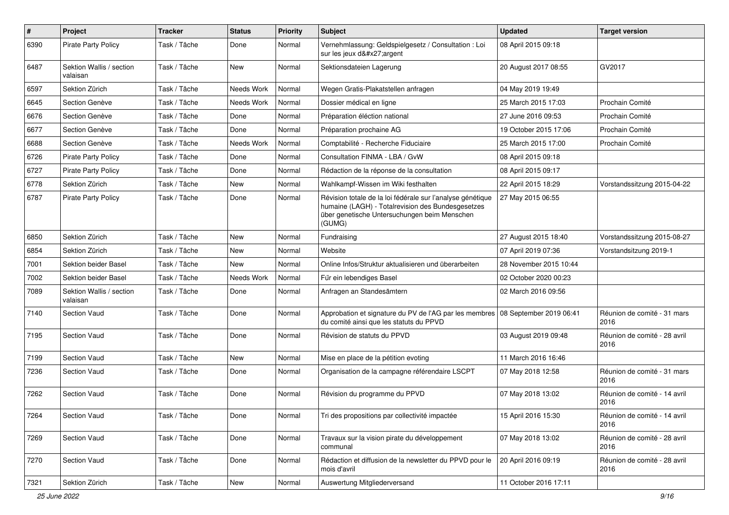| $\pmb{\#}$ | Project                              | <b>Tracker</b> | <b>Status</b> | <b>Priority</b> | Subject                                                                                                                                                                   | <b>Updated</b>          | <b>Target version</b>                |
|------------|--------------------------------------|----------------|---------------|-----------------|---------------------------------------------------------------------------------------------------------------------------------------------------------------------------|-------------------------|--------------------------------------|
| 6390       | <b>Pirate Party Policy</b>           | Task / Tâche   | Done          | Normal          | Vernehmlassung: Geldspielgesetz / Consultation : Loi<br>sur les jeux d'argent                                                                                             | 08 April 2015 09:18     |                                      |
| 6487       | Sektion Wallis / section<br>valaisan | Task / Tâche   | <b>New</b>    | Normal          | Sektionsdateien Lagerung                                                                                                                                                  | 20 August 2017 08:55    | GV2017                               |
| 6597       | Sektion Zürich                       | Task / Tâche   | Needs Work    | Normal          | Wegen Gratis-Plakatstellen anfragen                                                                                                                                       | 04 May 2019 19:49       |                                      |
| 6645       | Section Genève                       | Task / Tâche   | Needs Work    | Normal          | Dossier médical en ligne                                                                                                                                                  | 25 March 2015 17:03     | Prochain Comité                      |
| 6676       | Section Genève                       | Task / Tâche   | Done          | Normal          | Préparation éléction national                                                                                                                                             | 27 June 2016 09:53      | Prochain Comité                      |
| 6677       | Section Genève                       | Task / Tâche   | Done          | Normal          | Préparation prochaine AG                                                                                                                                                  | 19 October 2015 17:06   | Prochain Comité                      |
| 6688       | Section Genève                       | Task / Tâche   | Needs Work    | Normal          | Comptabilité - Recherche Fiduciaire                                                                                                                                       | 25 March 2015 17:00     | Prochain Comité                      |
| 6726       | <b>Pirate Party Policy</b>           | Task / Tâche   | Done          | Normal          | Consultation FINMA - LBA / GvW                                                                                                                                            | 08 April 2015 09:18     |                                      |
| 6727       | <b>Pirate Party Policy</b>           | Task / Tâche   | Done          | Normal          | Rédaction de la réponse de la consultation                                                                                                                                | 08 April 2015 09:17     |                                      |
| 6778       | Sektion Zürich                       | Task / Tâche   | <b>New</b>    | Normal          | Wahlkampf-Wissen im Wiki festhalten                                                                                                                                       | 22 April 2015 18:29     | Vorstandssitzung 2015-04-22          |
| 6787       | <b>Pirate Party Policy</b>           | Task / Tâche   | Done          | Normal          | Révision totale de la loi fédérale sur l'analyse génétique<br>humaine (LAGH) - Totalrevision des Bundesgesetzes<br>über genetische Untersuchungen beim Menschen<br>(GUMG) | 27 May 2015 06:55       |                                      |
| 6850       | Sektion Zürich                       | Task / Tâche   | <b>New</b>    | Normal          | Fundraising                                                                                                                                                               | 27 August 2015 18:40    | Vorstandssitzung 2015-08-27          |
| 6854       | Sektion Zürich                       | Task / Tâche   | <b>New</b>    | Normal          | Website                                                                                                                                                                   | 07 April 2019 07:36     | Vorstandsitzung 2019-1               |
| 7001       | Sektion beider Basel                 | Task / Tâche   | New           | Normal          | Online Infos/Struktur aktualisieren und überarbeiten                                                                                                                      | 28 November 2015 10:44  |                                      |
| 7002       | Sektion beider Basel                 | Task / Tâche   | Needs Work    | Normal          | Für ein lebendiges Basel                                                                                                                                                  | 02 October 2020 00:23   |                                      |
| 7089       | Sektion Wallis / section<br>valaisan | Task / Tâche   | Done          | Normal          | Anfragen an Standesämtern                                                                                                                                                 | 02 March 2016 09:56     |                                      |
| 7140       | <b>Section Vaud</b>                  | Task / Tâche   | Done          | Normal          | Approbation et signature du PV de l'AG par les membres<br>du comité ainsi que les statuts du PPVD                                                                         | 08 September 2019 06:41 | Réunion de comité - 31 mars<br>2016  |
| 7195       | <b>Section Vaud</b>                  | Task / Tâche   | Done          | Normal          | Révision de statuts du PPVD                                                                                                                                               | 03 August 2019 09:48    | Réunion de comité - 28 avril<br>2016 |
| 7199       | <b>Section Vaud</b>                  | Task / Tâche   | New           | Normal          | Mise en place de la pétition evoting                                                                                                                                      | 11 March 2016 16:46     |                                      |
| 7236       | <b>Section Vaud</b>                  | Task / Tâche   | Done          | Normal          | Organisation de la campagne référendaire LSCPT                                                                                                                            | 07 May 2018 12:58       | Réunion de comité - 31 mars<br>2016  |
| 7262       | <b>Section Vaud</b>                  | Task / Tâche   | Done          | Normal          | Révision du programme du PPVD                                                                                                                                             | 07 May 2018 13:02       | Réunion de comité - 14 avril<br>2016 |
| 7264       | Section Vaud                         | Task / Tâche   | Done          | Normal          | Tri des propositions par collectivité impactée                                                                                                                            | 15 April 2016 15:30     | Réunion de comité - 14 avril<br>2016 |
| 7269       | Section Vaud                         | Task / Tâche   | Done          | Normal          | Travaux sur la vision pirate du développement<br>communal                                                                                                                 | 07 May 2018 13:02       | Réunion de comité - 28 avril<br>2016 |
| 7270       | Section Vaud                         | Task / Tâche   | Done          | Normal          | Rédaction et diffusion de la newsletter du PPVD pour le<br>mois d'avril                                                                                                   | 20 April 2016 09:19     | Réunion de comité - 28 avril<br>2016 |
| 7321       | Sektion Zürich                       | Task / Tâche   | New           | Normal          | Auswertung Mitgliederversand                                                                                                                                              | 11 October 2016 17:11   |                                      |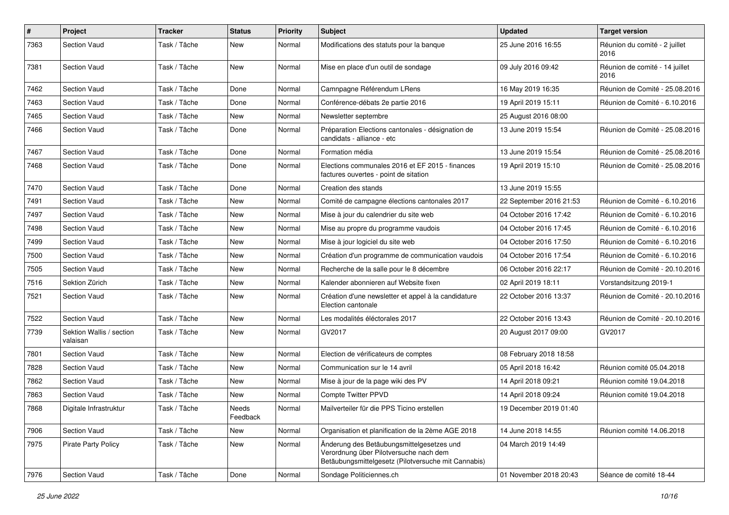| $\pmb{\#}$ | Project                              | <b>Tracker</b> | <b>Status</b>     | <b>Priority</b> | Subject                                                                                                                                    | <b>Updated</b>          | <b>Target version</b>                  |
|------------|--------------------------------------|----------------|-------------------|-----------------|--------------------------------------------------------------------------------------------------------------------------------------------|-------------------------|----------------------------------------|
| 7363       | <b>Section Vaud</b>                  | Task / Tâche   | <b>New</b>        | Normal          | Modifications des statuts pour la banque                                                                                                   | 25 June 2016 16:55      | Réunion du comité - 2 juillet<br>2016  |
| 7381       | <b>Section Vaud</b>                  | Task / Tâche   | <b>New</b>        | Normal          | Mise en place d'un outil de sondage                                                                                                        | 09 July 2016 09:42      | Réunion de comité - 14 juillet<br>2016 |
| 7462       | <b>Section Vaud</b>                  | Task / Tâche   | Done              | Normal          | Camnpagne Référendum LRens                                                                                                                 | 16 May 2019 16:35       | Réunion de Comité - 25.08.2016         |
| 7463       | <b>Section Vaud</b>                  | Task / Tâche   | Done              | Normal          | Conférence-débats 2e partie 2016                                                                                                           | 19 April 2019 15:11     | Réunion de Comité - 6.10.2016          |
| 7465       | <b>Section Vaud</b>                  | Task / Tâche   | New               | Normal          | Newsletter septembre                                                                                                                       | 25 August 2016 08:00    |                                        |
| 7466       | <b>Section Vaud</b>                  | Task / Tâche   | Done              | Normal          | Préparation Elections cantonales - désignation de<br>candidats - alliance - etc                                                            | 13 June 2019 15:54      | Réunion de Comité - 25.08.2016         |
| 7467       | <b>Section Vaud</b>                  | Task / Tâche   | Done              | Normal          | Formation média                                                                                                                            | 13 June 2019 15:54      | Réunion de Comité - 25.08.2016         |
| 7468       | <b>Section Vaud</b>                  | Task / Tâche   | Done              | Normal          | Elections communales 2016 et EF 2015 - finances<br>factures ouvertes - point de sitation                                                   | 19 April 2019 15:10     | Réunion de Comité - 25.08.2016         |
| 7470       | Section Vaud                         | Task / Tâche   | Done              | Normal          | Creation des stands                                                                                                                        | 13 June 2019 15:55      |                                        |
| 7491       | <b>Section Vaud</b>                  | Task / Tâche   | New               | Normal          | Comité de campagne élections cantonales 2017                                                                                               | 22 September 2016 21:53 | Réunion de Comité - 6.10.2016          |
| 7497       | <b>Section Vaud</b>                  | Task / Tâche   | New               | Normal          | Mise à jour du calendrier du site web                                                                                                      | 04 October 2016 17:42   | Réunion de Comité - 6.10.2016          |
| 7498       | <b>Section Vaud</b>                  | Task / Tâche   | New               | Normal          | Mise au propre du programme vaudois                                                                                                        | 04 October 2016 17:45   | Réunion de Comité - 6.10.2016          |
| 7499       | <b>Section Vaud</b>                  | Task / Tâche   | <b>New</b>        | Normal          | Mise à jour logiciel du site web                                                                                                           | 04 October 2016 17:50   | Réunion de Comité - 6.10.2016          |
| 7500       | <b>Section Vaud</b>                  | Task / Tâche   | New               | Normal          | Création d'un programme de communication vaudois                                                                                           | 04 October 2016 17:54   | Réunion de Comité - 6.10.2016          |
| 7505       | <b>Section Vaud</b>                  | Task / Tâche   | New               | Normal          | Recherche de la salle pour le 8 décembre                                                                                                   | 06 October 2016 22:17   | Réunion de Comité - 20.10.2016         |
| 7516       | Sektion Zürich                       | Task / Tâche   | New               | Normal          | Kalender abonnieren auf Website fixen                                                                                                      | 02 April 2019 18:11     | Vorstandsitzung 2019-1                 |
| 7521       | <b>Section Vaud</b>                  | Task / Tâche   | New               | Normal          | Création d'une newsletter et appel à la candidature<br>Election cantonale                                                                  | 22 October 2016 13:37   | Réunion de Comité - 20.10.2016         |
| 7522       | Section Vaud                         | Task / Tâche   | <b>New</b>        | Normal          | Les modalités éléctorales 2017                                                                                                             | 22 October 2016 13:43   | Réunion de Comité - 20.10.2016         |
| 7739       | Sektion Wallis / section<br>valaisan | Task / Tâche   | New               | Normal          | GV2017                                                                                                                                     | 20 August 2017 09:00    | GV2017                                 |
| 7801       | Section Vaud                         | Task / Tâche   | New               | Normal          | Election de vérificateurs de comptes                                                                                                       | 08 February 2018 18:58  |                                        |
| 7828       | <b>Section Vaud</b>                  | Task / Tâche   | New               | Normal          | Communication sur le 14 avril                                                                                                              | 05 April 2018 16:42     | Réunion comité 05.04.2018              |
| 7862       | Section Vaud                         | Task / Tâche   | New               | Normal          | Mise à jour de la page wiki des PV                                                                                                         | 14 April 2018 09:21     | Réunion comité 19.04.2018              |
| 7863       | <b>Section Vaud</b>                  | Task / Tâche   | New               | Normal          | Compte Twitter PPVD                                                                                                                        | 14 April 2018 09:24     | Réunion comité 19.04.2018              |
| 7868       | Digitale Infrastruktur               | Task / Tâche   | Needs<br>Feedback | Normal          | Mailverteiler für die PPS Ticino erstellen                                                                                                 | 19 December 2019 01:40  |                                        |
| 7906       | Section Vaud                         | Task / Tâche   | New               | Normal          | Organisation et planification de la 2ème AGE 2018                                                                                          | 14 June 2018 14:55      | Réunion comité 14.06.2018              |
| 7975       | Pirate Party Policy                  | Task / Tâche   | New               | Normal          | Änderung des Betäubungsmittelgesetzes und<br>Verordnung über Pilotversuche nach dem<br>Betäubungsmittelgesetz (Pilotversuche mit Cannabis) | 04 March 2019 14:49     |                                        |
| 7976       | Section Vaud                         | Task / Tâche   | Done              | Normal          | Sondage Politiciennes.ch                                                                                                                   | 01 November 2018 20:43  | Séance de comité 18-44                 |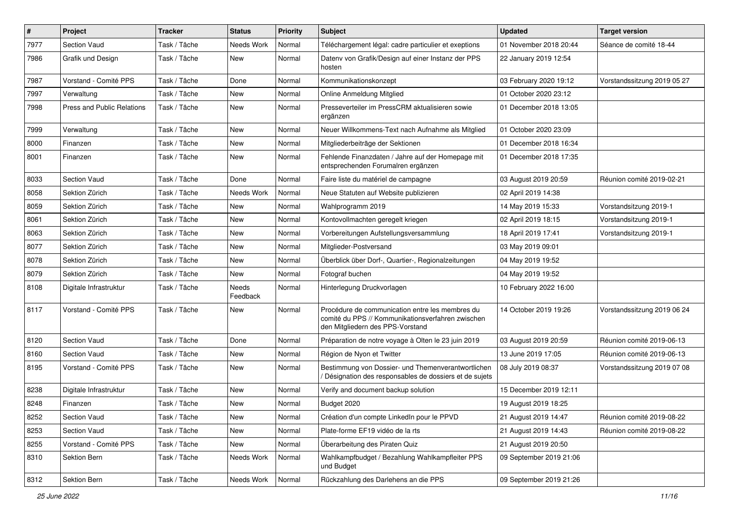| $\sharp$ | Project                           | <b>Tracker</b> | <b>Status</b>     | <b>Priority</b> | <b>Subject</b>                                                                                                                           | <b>Updated</b>          | <b>Target version</b>       |
|----------|-----------------------------------|----------------|-------------------|-----------------|------------------------------------------------------------------------------------------------------------------------------------------|-------------------------|-----------------------------|
| 7977     | <b>Section Vaud</b>               | Task / Tâche   | Needs Work        | Normal          | Téléchargement légal: cadre particulier et exeptions                                                                                     | 01 November 2018 20:44  | Séance de comité 18-44      |
| 7986     | Grafik und Design                 | Task / Tâche   | New               | Normal          | Datenv von Grafik/Design auf einer Instanz der PPS<br>hosten                                                                             | 22 January 2019 12:54   |                             |
| 7987     | Vorstand - Comité PPS             | Task / Tâche   | Done              | Normal          | Kommunikationskonzept                                                                                                                    | 03 February 2020 19:12  | Vorstandssitzung 2019 05 27 |
| 7997     | Verwaltung                        | Task / Tâche   | New               | Normal          | Online Anmeldung Mitglied                                                                                                                | 01 October 2020 23:12   |                             |
| 7998     | <b>Press and Public Relations</b> | Task / Tâche   | New               | Normal          | Presseverteiler im PressCRM aktualisieren sowie<br>ergänzen                                                                              | 01 December 2018 13:05  |                             |
| 7999     | Verwaltung                        | Task / Tâche   | New               | Normal          | Neuer Willkommens-Text nach Aufnahme als Mitglied                                                                                        | 01 October 2020 23:09   |                             |
| 8000     | Finanzen                          | Task / Tâche   | New               | Normal          | Mitgliederbeiträge der Sektionen                                                                                                         | 01 December 2018 16:34  |                             |
| 8001     | Finanzen                          | Task / Tâche   | New               | Normal          | Fehlende Finanzdaten / Jahre auf der Homepage mit<br>entsprechenden Forumalren ergänzen                                                  | 01 December 2018 17:35  |                             |
| 8033     | <b>Section Vaud</b>               | Task / Tâche   | Done              | Normal          | Faire liste du matériel de campagne                                                                                                      | 03 August 2019 20:59    | Réunion comité 2019-02-21   |
| 8058     | Sektion Zürich                    | Task / Tâche   | Needs Work        | Normal          | Neue Statuten auf Website publizieren                                                                                                    | 02 April 2019 14:38     |                             |
| 8059     | Sektion Zürich                    | Task / Tâche   | New               | Normal          | Wahlprogramm 2019                                                                                                                        | 14 May 2019 15:33       | Vorstandsitzung 2019-1      |
| 8061     | Sektion Zürich                    | Task / Tâche   | <b>New</b>        | Normal          | Kontovollmachten geregelt kriegen                                                                                                        | 02 April 2019 18:15     | Vorstandsitzung 2019-1      |
| 8063     | Sektion Zürich                    | Task / Tâche   | New               | Normal          | Vorbereitungen Aufstellungsversammlung                                                                                                   | 18 April 2019 17:41     | Vorstandsitzung 2019-1      |
| 8077     | Sektion Zürich                    | Task / Tâche   | New               | Normal          | Mitglieder-Postversand                                                                                                                   | 03 May 2019 09:01       |                             |
| 8078     | Sektion Zürich                    | Task / Tâche   | <b>New</b>        | Normal          | Überblick über Dorf-, Quartier-, Regionalzeitungen                                                                                       | 04 May 2019 19:52       |                             |
| 8079     | Sektion Zürich                    | Task / Tâche   | New               | Normal          | Fotograf buchen                                                                                                                          | 04 May 2019 19:52       |                             |
| 8108     | Digitale Infrastruktur            | Task / Tâche   | Needs<br>Feedback | Normal          | Hinterlegung Druckvorlagen                                                                                                               | 10 February 2022 16:00  |                             |
| 8117     | Vorstand - Comité PPS             | Task / Tâche   | <b>New</b>        | Normal          | Procédure de communication entre les membres du<br>comité du PPS // Kommunikationsverfahren zwischen<br>den Mitgliedern des PPS-Vorstand | 14 October 2019 19:26   | Vorstandssitzung 2019 06 24 |
| 8120     | Section Vaud                      | Task / Tâche   | Done              | Normal          | Préparation de notre voyage à Olten le 23 juin 2019                                                                                      | 03 August 2019 20:59    | Réunion comité 2019-06-13   |
| 8160     | <b>Section Vaud</b>               | Task / Tâche   | New               | Normal          | Région de Nyon et Twitter                                                                                                                | 13 June 2019 17:05      | Réunion comité 2019-06-13   |
| 8195     | Vorstand - Comité PPS             | Task / Tâche   | New               | Normal          | Bestimmung von Dossier- und Themenverantwortlichen<br>Désignation des responsables de dossiers et de sujets                              | 08 July 2019 08:37      | Vorstandssitzung 2019 07 08 |
| 8238     | Digitale Infrastruktur            | Task / Tâche   | New               | Normal          | Verify and document backup solution                                                                                                      | 15 December 2019 12:11  |                             |
| 8248     | Finanzen                          | Task / Tâche   | New               | Normal          | Budget 2020                                                                                                                              | 19 August 2019 18:25    |                             |
| 8252     | Section Vaud                      | Task / Tâche   | New               | Normal          | Création d'un compte LinkedIn pour le PPVD                                                                                               | 21 August 2019 14:47    | Réunion comité 2019-08-22   |
| 8253     | Section Vaud                      | Task / Tâche   | New               | Normal          | Plate-forme EF19 vidéo de la rts                                                                                                         | 21 August 2019 14:43    | Réunion comité 2019-08-22   |
| 8255     | Vorstand - Comité PPS             | Task / Tâche   | New               | Normal          | Überarbeitung des Piraten Quiz                                                                                                           | 21 August 2019 20:50    |                             |
| 8310     | Sektion Bern                      | Task / Tâche   | Needs Work        | Normal          | Wahlkampfbudget / Bezahlung Wahlkampfleiter PPS<br>und Budget                                                                            | 09 September 2019 21:06 |                             |
| 8312     | Sektion Bern                      | Task / Tâche   | Needs Work        | Normal          | Rückzahlung des Darlehens an die PPS                                                                                                     | 09 September 2019 21:26 |                             |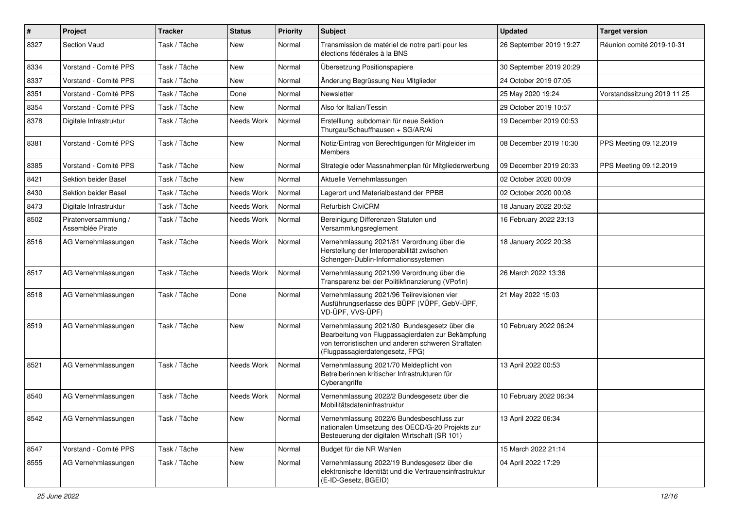| $\pmb{\#}$ | Project                                  | <b>Tracker</b> | <b>Status</b> | <b>Priority</b> | Subject                                                                                                                                                                                     | <b>Updated</b>          | <b>Target version</b>       |
|------------|------------------------------------------|----------------|---------------|-----------------|---------------------------------------------------------------------------------------------------------------------------------------------------------------------------------------------|-------------------------|-----------------------------|
| 8327       | <b>Section Vaud</b>                      | Task / Tâche   | New           | Normal          | Transmission de matériel de notre parti pour les<br>élections fédérales à la BNS                                                                                                            | 26 September 2019 19:27 | Réunion comité 2019-10-31   |
| 8334       | Vorstand - Comité PPS                    | Task / Tâche   | New           | Normal          | Übersetzung Positionspapiere                                                                                                                                                                | 30 September 2019 20:29 |                             |
| 8337       | Vorstand - Comité PPS                    | Task / Tâche   | New           | Normal          | Änderung Begrüssung Neu Mitglieder                                                                                                                                                          | 24 October 2019 07:05   |                             |
| 8351       | Vorstand - Comité PPS                    | Task / Tâche   | Done          | Normal          | Newsletter                                                                                                                                                                                  | 25 May 2020 19:24       | Vorstandssitzung 2019 11 25 |
| 8354       | Vorstand - Comité PPS                    | Task / Tâche   | <b>New</b>    | Normal          | Also for Italian/Tessin                                                                                                                                                                     | 29 October 2019 10:57   |                             |
| 8378       | Digitale Infrastruktur                   | Task / Tâche   | Needs Work    | Normal          | Erstelllung subdomain für neue Sektion<br>Thurgau/Schauffhausen + SG/AR/Ai                                                                                                                  | 19 December 2019 00:53  |                             |
| 8381       | Vorstand - Comité PPS                    | Task / Tâche   | <b>New</b>    | Normal          | Notiz/Eintrag von Berechtigungen für Mitgleider im<br>Members                                                                                                                               | 08 December 2019 10:30  | PPS Meeting 09.12.2019      |
| 8385       | Vorstand - Comité PPS                    | Task / Tâche   | New           | Normal          | Strategie oder Massnahmenplan für Mitgliederwerbung                                                                                                                                         | 09 December 2019 20:33  | PPS Meeting 09.12.2019      |
| 8421       | Sektion beider Basel                     | Task / Tâche   | New           | Normal          | Aktuelle Vernehmlassungen                                                                                                                                                                   | 02 October 2020 00:09   |                             |
| 8430       | Sektion beider Basel                     | Task / Tâche   | Needs Work    | Normal          | Lagerort und Materialbestand der PPBB                                                                                                                                                       | 02 October 2020 00:08   |                             |
| 8473       | Digitale Infrastruktur                   | Task / Tâche   | Needs Work    | Normal          | <b>Refurbish CiviCRM</b>                                                                                                                                                                    | 18 January 2022 20:52   |                             |
| 8502       | Piratenversammlung /<br>Assemblée Pirate | Task / Tâche   | Needs Work    | Normal          | Bereinigung Differenzen Statuten und<br>Versammlungsreglement                                                                                                                               | 16 February 2022 23:13  |                             |
| 8516       | AG Vernehmlassungen                      | Task / Tâche   | Needs Work    | Normal          | Vernehmlassung 2021/81 Verordnung über die<br>Herstellung der Interoperabilität zwischen<br>Schengen-Dublin-Informationssystemen                                                            | 18 January 2022 20:38   |                             |
| 8517       | AG Vernehmlassungen                      | Task / Tâche   | Needs Work    | Normal          | Vernehmlassung 2021/99 Verordnung über die<br>Transparenz bei der Politikfinanzierung (VPofin)                                                                                              | 26 March 2022 13:36     |                             |
| 8518       | AG Vernehmlassungen                      | Task / Tâche   | Done          | Normal          | Vernehmlassung 2021/96 Teilrevisionen vier<br>Ausführungserlasse des BÜPF (VÜPF, GebV-ÜPF,<br>VD-ÜPF, VVS-ÜPF)                                                                              | 21 May 2022 15:03       |                             |
| 8519       | AG Vernehmlassungen                      | Task / Tâche   | New           | Normal          | Vernehmlassung 2021/80 Bundesgesetz über die<br>Bearbeitung von Flugpassagierdaten zur Bekämpfung<br>von terroristischen und anderen schweren Straftaten<br>(Flugpassagierdatengesetz, FPG) | 10 February 2022 06:24  |                             |
| 8521       | AG Vernehmlassungen                      | Task / Tâche   | Needs Work    | Normal          | Vernehmlassung 2021/70 Meldepflicht von<br>Betreiberinnen kritischer Infrastrukturen für<br>Cyberangriffe                                                                                   | 13 April 2022 00:53     |                             |
| 8540       | AG Vernehmlassungen                      | Task / Tâche   | Needs Work    | Normal          | Vernehmlassung 2022/2 Bundesgesetz über die<br>Mobilitätsdateninfrastruktur                                                                                                                 | 10 February 2022 06:34  |                             |
| 8542       | AG Vernehmlassungen                      | Task / Tâche   | New           | Normal          | Vernehmlassung 2022/6 Bundesbeschluss zur<br>nationalen Umsetzung des OECD/G-20 Projekts zur<br>Besteuerung der digitalen Wirtschaft (SR 101)                                               | 13 April 2022 06:34     |                             |
| 8547       | Vorstand - Comité PPS                    | Task / Tâche   | New           | Normal          | Budget für die NR Wahlen                                                                                                                                                                    | 15 March 2022 21:14     |                             |
| 8555       | AG Vernehmlassungen                      | Task / Tâche   | New           | Normal          | Vernehmlassung 2022/19 Bundesgesetz über die<br>elektronische Identität und die Vertrauensinfrastruktur<br>(E-ID-Gesetz, BGEID)                                                             | 04 April 2022 17:29     |                             |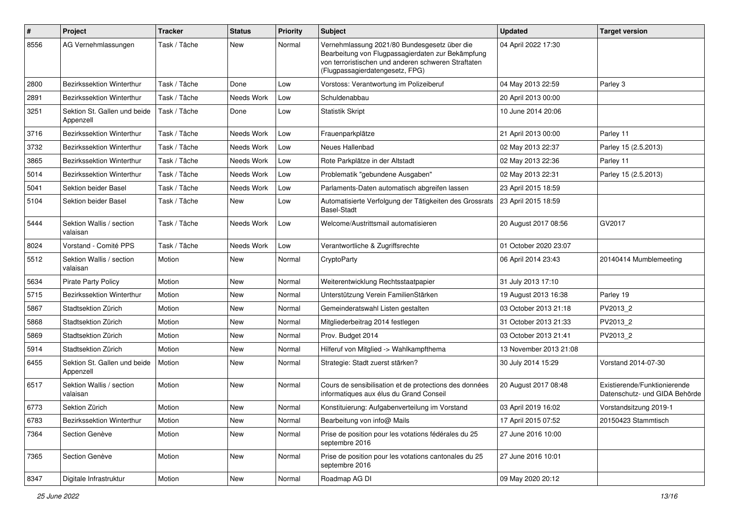| #    | Project                                   | <b>Tracker</b> | <b>Status</b> | <b>Priority</b> | Subject                                                                                                                                                                                     | <b>Updated</b>         | <b>Target version</b>                                         |
|------|-------------------------------------------|----------------|---------------|-----------------|---------------------------------------------------------------------------------------------------------------------------------------------------------------------------------------------|------------------------|---------------------------------------------------------------|
| 8556 | AG Vernehmlassungen                       | Task / Tâche   | New           | Normal          | Vernehmlassung 2021/80 Bundesgesetz über die<br>Bearbeitung von Flugpassagierdaten zur Bekämpfung<br>von terroristischen und anderen schweren Straftaten<br>(Flugpassagierdatengesetz, FPG) | 04 April 2022 17:30    |                                                               |
| 2800 | Bezirkssektion Winterthur                 | Task / Tâche   | Done          | Low             | Vorstoss: Verantwortung im Polizeiberuf                                                                                                                                                     | 04 May 2013 22:59      | Parley 3                                                      |
| 2891 | Bezirkssektion Winterthur                 | Task / Tâche   | Needs Work    | Low             | Schuldenabbau                                                                                                                                                                               | 20 April 2013 00:00    |                                                               |
| 3251 | Sektion St. Gallen und beide<br>Appenzell | Task / Tâche   | Done          | Low             | <b>Statistik Skript</b>                                                                                                                                                                     | 10 June 2014 20:06     |                                                               |
| 3716 | Bezirkssektion Winterthur                 | Task / Tâche   | Needs Work    | Low             | Frauenparkplätze                                                                                                                                                                            | 21 April 2013 00:00    | Parley 11                                                     |
| 3732 | Bezirkssektion Winterthur                 | Task / Tâche   | Needs Work    | Low             | Neues Hallenbad                                                                                                                                                                             | 02 May 2013 22:37      | Parley 15 (2.5.2013)                                          |
| 3865 | Bezirkssektion Winterthur                 | Task / Tâche   | Needs Work    | Low             | Rote Parkplätze in der Altstadt                                                                                                                                                             | 02 May 2013 22:36      | Parley 11                                                     |
| 5014 | Bezirkssektion Winterthur                 | Task / Tâche   | Needs Work    | Low             | Problematik "gebundene Ausgaben"                                                                                                                                                            | 02 May 2013 22:31      | Parley 15 (2.5.2013)                                          |
| 5041 | Sektion beider Basel                      | Task / Tâche   | Needs Work    | Low             | Parlaments-Daten automatisch abgreifen lassen                                                                                                                                               | 23 April 2015 18:59    |                                                               |
| 5104 | Sektion beider Basel                      | Task / Tâche   | <b>New</b>    | Low             | Automatisierte Verfolgung der Tätigkeiten des Grossrats<br><b>Basel-Stadt</b>                                                                                                               | 23 April 2015 18:59    |                                                               |
| 5444 | Sektion Wallis / section<br>valaisan      | Task / Tâche   | Needs Work    | Low             | Welcome/Austrittsmail automatisieren                                                                                                                                                        | 20 August 2017 08:56   | GV2017                                                        |
| 8024 | Vorstand - Comité PPS                     | Task / Tâche   | Needs Work    | Low             | Verantwortliche & Zugriffsrechte                                                                                                                                                            | 01 October 2020 23:07  |                                                               |
| 5512 | Sektion Wallis / section<br>valaisan      | Motion         | New           | Normal          | CryptoParty                                                                                                                                                                                 | 06 April 2014 23:43    | 20140414 Mumblemeeting                                        |
| 5634 | <b>Pirate Party Policy</b>                | Motion         | New           | Normal          | Weiterentwicklung Rechtsstaatpapier                                                                                                                                                         | 31 July 2013 17:10     |                                                               |
| 5715 | Bezirkssektion Winterthur                 | Motion         | New           | Normal          | Unterstützung Verein FamilienStärken                                                                                                                                                        | 19 August 2013 16:38   | Parley 19                                                     |
| 5867 | Stadtsektion Zürich                       | Motion         | New           | Normal          | Gemeinderatswahl Listen gestalten                                                                                                                                                           | 03 October 2013 21:18  | PV2013_2                                                      |
| 5868 | Stadtsektion Zürich                       | Motion         | New           | Normal          | Mitgliederbeitrag 2014 festlegen                                                                                                                                                            | 31 October 2013 21:33  | PV2013_2                                                      |
| 5869 | Stadtsektion Zürich                       | Motion         | New           | Normal          | Prov. Budget 2014                                                                                                                                                                           | 03 October 2013 21:41  | PV2013_2                                                      |
| 5914 | Stadtsektion Zürich                       | Motion         | <b>New</b>    | Normal          | Hilferuf von Mitglied -> Wahlkampfthema                                                                                                                                                     | 13 November 2013 21:08 |                                                               |
| 6455 | Sektion St. Gallen und beide<br>Appenzell | Motion         | New           | Normal          | Strategie: Stadt zuerst stärken?                                                                                                                                                            | 30 July 2014 15:29     | Vorstand 2014-07-30                                           |
| 6517 | Sektion Wallis / section<br>valaisan      | Motion         | New           | Normal          | Cours de sensibilisation et de protections des données<br>informatiques aux élus du Grand Conseil                                                                                           | 20 August 2017 08:48   | Existierende/Funktionierende<br>Datenschutz- und GIDA Behörde |
| 6773 | Sektion Zürich                            | Motion         | New           | Normal          | Konstituierung: Aufgabenverteilung im Vorstand                                                                                                                                              | 03 April 2019 16:02    | Vorstandsitzung 2019-1                                        |
| 6783 | Bezirkssektion Winterthur                 | Motion         | New           | Normal          | Bearbeitung von info@ Mails                                                                                                                                                                 | 17 April 2015 07:52    | 20150423 Stammtisch                                           |
| 7364 | Section Genève                            | Motion         | New           | Normal          | Prise de position pour les votations fédérales du 25<br>septembre 2016                                                                                                                      | 27 June 2016 10:00     |                                                               |
| 7365 | Section Genève                            | Motion         | New           | Normal          | Prise de position pour les votations cantonales du 25<br>septembre 2016                                                                                                                     | 27 June 2016 10:01     |                                                               |
| 8347 | Digitale Infrastruktur                    | Motion         | New           | Normal          | Roadmap AG DI                                                                                                                                                                               | 09 May 2020 20:12      |                                                               |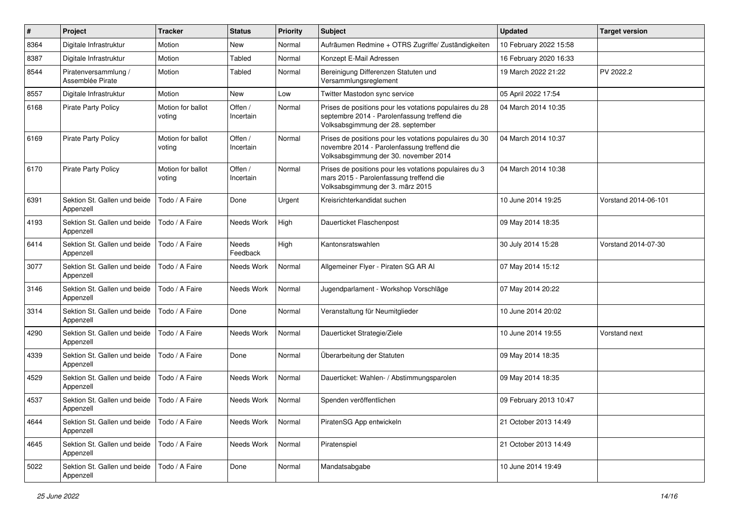| $\pmb{\#}$ | Project                                   | <b>Tracker</b>              | <b>Status</b>        | <b>Priority</b> | <b>Subject</b>                                                                                                                                  | <b>Updated</b>         | <b>Target version</b> |
|------------|-------------------------------------------|-----------------------------|----------------------|-----------------|-------------------------------------------------------------------------------------------------------------------------------------------------|------------------------|-----------------------|
| 8364       | Digitale Infrastruktur                    | Motion                      | New                  | Normal          | Aufräumen Redmine + OTRS Zugriffe/ Zuständigkeiten                                                                                              | 10 February 2022 15:58 |                       |
| 8387       | Digitale Infrastruktur                    | Motion                      | Tabled               | Normal          | Konzept E-Mail Adressen                                                                                                                         | 16 February 2020 16:33 |                       |
| 8544       | Piratenversammlung /<br>Assemblée Pirate  | Motion                      | Tabled               | Normal          | Bereinigung Differenzen Statuten und<br>Versammlungsreglement                                                                                   | 19 March 2022 21:22    | PV 2022.2             |
| 8557       | Digitale Infrastruktur                    | Motion                      | <b>New</b>           | Low             | Twitter Mastodon sync service                                                                                                                   | 05 April 2022 17:54    |                       |
| 6168       | <b>Pirate Party Policy</b>                | Motion for ballot<br>voting | Offen /<br>Incertain | Normal          | Prises de positions pour les votations populaires du 28<br>septembre 2014 - Parolenfassung treffend die<br>Volksabsgimmung der 28. september    | 04 March 2014 10:35    |                       |
| 6169       | <b>Pirate Party Policy</b>                | Motion for ballot<br>voting | Offen /<br>Incertain | Normal          | Prises de positions pour les votations populaires du 30<br>novembre 2014 - Parolenfassung treffend die<br>Volksabsgimmung der 30. november 2014 | 04 March 2014 10:37    |                       |
| 6170       | <b>Pirate Party Policy</b>                | Motion for ballot<br>voting | Offen /<br>Incertain | Normal          | Prises de positions pour les votations populaires du 3<br>mars 2015 - Parolenfassung treffend die<br>Volksabsgimmung der 3. märz 2015           | 04 March 2014 10:38    |                       |
| 6391       | Sektion St. Gallen und beide<br>Appenzell | Todo / A Faire              | Done                 | Urgent          | Kreisrichterkandidat suchen                                                                                                                     | 10 June 2014 19:25     | Vorstand 2014-06-101  |
| 4193       | Sektion St. Gallen und beide<br>Appenzell | Todo / A Faire              | Needs Work           | High            | Dauerticket Flaschenpost                                                                                                                        | 09 May 2014 18:35      |                       |
| 6414       | Sektion St. Gallen und beide<br>Appenzell | Todo / A Faire              | Needs<br>Feedback    | High            | Kantonsratswahlen                                                                                                                               | 30 July 2014 15:28     | Vorstand 2014-07-30   |
| 3077       | Sektion St. Gallen und beide<br>Appenzell | Todo / A Faire              | Needs Work           | Normal          | Allgemeiner Flyer - Piraten SG AR AI                                                                                                            | 07 May 2014 15:12      |                       |
| 3146       | Sektion St. Gallen und beide<br>Appenzell | Todo / A Faire              | Needs Work           | Normal          | Jugendparlament - Workshop Vorschläge                                                                                                           | 07 May 2014 20:22      |                       |
| 3314       | Sektion St. Gallen und beide<br>Appenzell | Todo / A Faire              | Done                 | Normal          | Veranstaltung für Neumitglieder                                                                                                                 | 10 June 2014 20:02     |                       |
| 4290       | Sektion St. Gallen und beide<br>Appenzell | Todo / A Faire              | Needs Work           | Normal          | Dauerticket Strategie/Ziele                                                                                                                     | 10 June 2014 19:55     | Vorstand next         |
| 4339       | Sektion St. Gallen und beide<br>Appenzell | Todo / A Faire              | Done                 | Normal          | Überarbeitung der Statuten                                                                                                                      | 09 May 2014 18:35      |                       |
| 4529       | Sektion St. Gallen und beide<br>Appenzell | Todo / A Faire              | Needs Work           | Normal          | Dauerticket: Wahlen- / Abstimmungsparolen                                                                                                       | 09 May 2014 18:35      |                       |
| 4537       | Sektion St. Gallen und beide<br>Appenzell | Todo / A Faire              | Needs Work           | Normal          | Spenden veröffentlichen                                                                                                                         | 09 February 2013 10:47 |                       |
| 4644       | Sektion St. Gallen und beide<br>Appenzell | Todo / A Faire              | Needs Work           | Normal          | PiratenSG App entwickeln                                                                                                                        | 21 October 2013 14:49  |                       |
| 4645       | Sektion St. Gallen und beide<br>Appenzell | Todo / A Faire              | Needs Work           | Normal          | Piratenspiel                                                                                                                                    | 21 October 2013 14:49  |                       |
| 5022       | Sektion St. Gallen und beide<br>Appenzell | Todo / A Faire              | Done                 | Normal          | Mandatsabgabe                                                                                                                                   | 10 June 2014 19:49     |                       |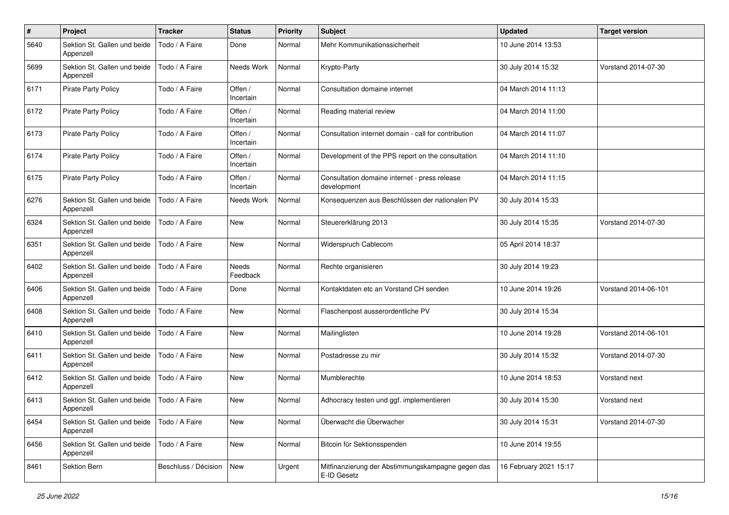| $\#$ | Project                                   | <b>Tracker</b>       | <b>Status</b>        | <b>Priority</b> | Subject                                                          | <b>Updated</b>         | <b>Target version</b> |
|------|-------------------------------------------|----------------------|----------------------|-----------------|------------------------------------------------------------------|------------------------|-----------------------|
| 5640 | Sektion St. Gallen und beide<br>Appenzell | Todo / A Faire       | Done                 | Normal          | Mehr Kommunikationssicherheit                                    | 10 June 2014 13:53     |                       |
| 5699 | Sektion St. Gallen und beide<br>Appenzell | Todo / A Faire       | Needs Work           | Normal          | Krypto-Party                                                     | 30 July 2014 15:32     | Vorstand 2014-07-30   |
| 6171 | <b>Pirate Party Policy</b>                | Todo / A Faire       | Offen /<br>Incertain | Normal          | Consultation domaine internet                                    | 04 March 2014 11:13    |                       |
| 6172 | <b>Pirate Party Policy</b>                | Todo / A Faire       | Offen /<br>Incertain | Normal          | Reading material review                                          | 04 March 2014 11:00    |                       |
| 6173 | Pirate Party Policy                       | Todo / A Faire       | Offen /<br>Incertain | Normal          | Consultation internet domain - call for contribution             | 04 March 2014 11:07    |                       |
| 6174 | <b>Pirate Party Policy</b>                | Todo / A Faire       | Offen /<br>Incertain | Normal          | Development of the PPS report on the consultation                | 04 March 2014 11:10    |                       |
| 6175 | <b>Pirate Party Policy</b>                | Todo / A Faire       | Offen /<br>Incertain | Normal          | Consultation domaine internet - press release<br>development     | 04 March 2014 11:15    |                       |
| 6276 | Sektion St. Gallen und beide<br>Appenzell | Todo / A Faire       | Needs Work           | Normal          | Konsequenzen aus Beschlüssen der nationalen PV                   | 30 July 2014 15:33     |                       |
| 6324 | Sektion St. Gallen und beide<br>Appenzell | Todo / A Faire       | <b>New</b>           | Normal          | Steuererklärung 2013                                             | 30 July 2014 15:35     | Vorstand 2014-07-30   |
| 6351 | Sektion St. Gallen und beide<br>Appenzell | Todo / A Faire       | New                  | Normal          | Widerspruch Cablecom                                             | 05 April 2014 18:37    |                       |
| 6402 | Sektion St. Gallen und beide<br>Appenzell | Todo / A Faire       | Needs<br>Feedback    | Normal          | Rechte organisieren                                              | 30 July 2014 19:23     |                       |
| 6406 | Sektion St. Gallen und beide<br>Appenzell | Todo / A Faire       | Done                 | Normal          | Kontaktdaten etc an Vorstand CH senden                           | 10 June 2014 19:26     | Vorstand 2014-06-101  |
| 6408 | Sektion St. Gallen und beide<br>Appenzell | Todo / A Faire       | <b>New</b>           | Normal          | Flaschenpost ausserordentliche PV                                | 30 July 2014 15:34     |                       |
| 6410 | Sektion St. Gallen und beide<br>Appenzell | Todo / A Faire       | <b>New</b>           | Normal          | Mailinglisten                                                    | 10 June 2014 19:28     | Vorstand 2014-06-101  |
| 6411 | Sektion St. Gallen und beide<br>Appenzell | Todo / A Faire       | <b>New</b>           | Normal          | Postadresse zu mir                                               | 30 July 2014 15:32     | Vorstand 2014-07-30   |
| 6412 | Sektion St. Gallen und beide<br>Appenzell | Todo / A Faire       | <b>New</b>           | Normal          | Mumblerechte                                                     | 10 June 2014 18:53     | Vorstand next         |
| 6413 | Sektion St. Gallen und beide<br>Appenzell | Todo / A Faire       | <b>New</b>           | Normal          | Adhocracy testen und ggf. implementieren                         | 30 July 2014 15:30     | Vorstand next         |
| 6454 | Sektion St. Gallen und beide<br>Appenzell | Todo / A Faire       | New                  | Normal          | Überwacht die Überwacher                                         | 30 July 2014 15:31     | Vorstand 2014-07-30   |
| 6456 | Sektion St. Gallen und beide<br>Appenzell | Todo / A Faire       | New                  | Normal          | Bitcoin für Sektionsspenden                                      | 10 June 2014 19:55     |                       |
| 8461 | <b>Sektion Bern</b>                       | Beschluss / Décision | New                  | Urgent          | Mitfinanzierung der Abstimmungskampagne gegen das<br>E-ID Gesetz | 16 February 2021 15:17 |                       |